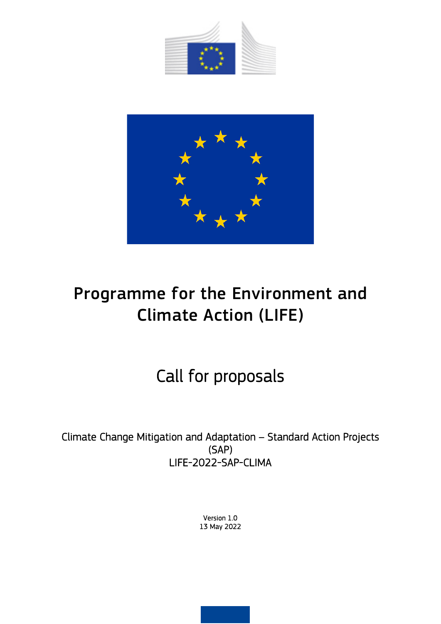



# Programme for the Environment and Climate Action (LIFE)

## Call for proposals

Climate Change Mitigation and Adaptation – Standard Action Projects (SAP) LIFE-2022-SAP-CLIMA

> Version 1.0 13 May 2022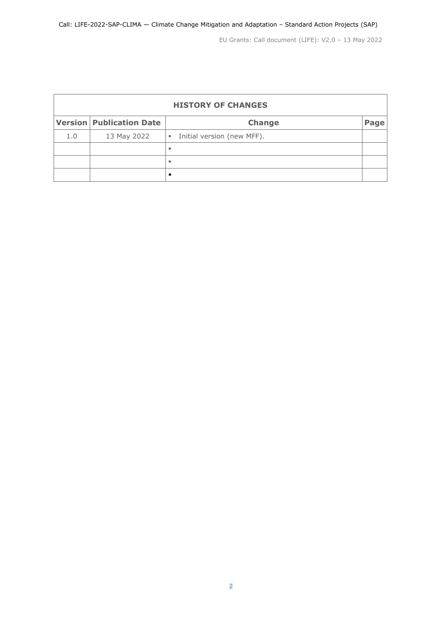| <b>HISTORY OF CHANGES</b> |                                 |                                              |      |  |  |  |
|---------------------------|---------------------------------|----------------------------------------------|------|--|--|--|
|                           | <b>Version Publication Date</b> | <b>Change</b>                                | Page |  |  |  |
| 1.0                       | 13 May 2022                     | Initial version (new MFF).<br>$\blacksquare$ |      |  |  |  |
|                           |                                 |                                              |      |  |  |  |
|                           |                                 |                                              |      |  |  |  |
|                           |                                 |                                              |      |  |  |  |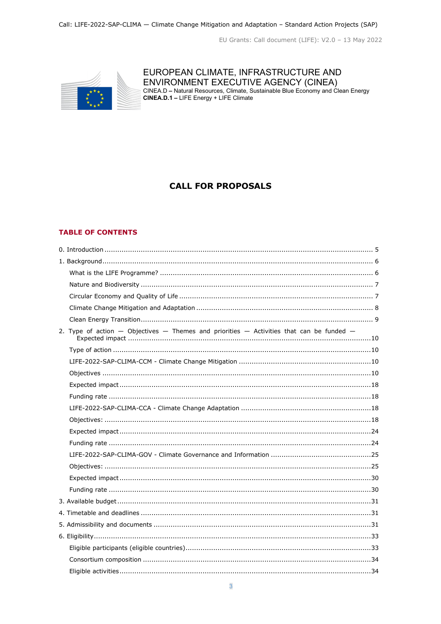

## EUROPEAN CLIMATE, INFRASTRUCTURE AND ENVIRONMENT EXECUTIVE AGENCY (CINEA)<br>CINEA.D – Natural Resources, Climate, Sustainable Blue Economy and Clean Energy<br>CINEA.D.1 – LIFE Energy + LIFE Climate

## **CALL FOR PROPOSALS**

#### **TABLE OF CONTENTS**

| 2. Type of action $-$ Objectives $-$ Themes and priorities $-$ Activities that can be funded $-$ |  |
|--------------------------------------------------------------------------------------------------|--|
|                                                                                                  |  |
|                                                                                                  |  |
|                                                                                                  |  |
|                                                                                                  |  |
|                                                                                                  |  |
|                                                                                                  |  |
|                                                                                                  |  |
|                                                                                                  |  |
|                                                                                                  |  |
|                                                                                                  |  |
|                                                                                                  |  |
|                                                                                                  |  |
|                                                                                                  |  |
|                                                                                                  |  |
|                                                                                                  |  |
|                                                                                                  |  |
|                                                                                                  |  |
|                                                                                                  |  |
|                                                                                                  |  |
|                                                                                                  |  |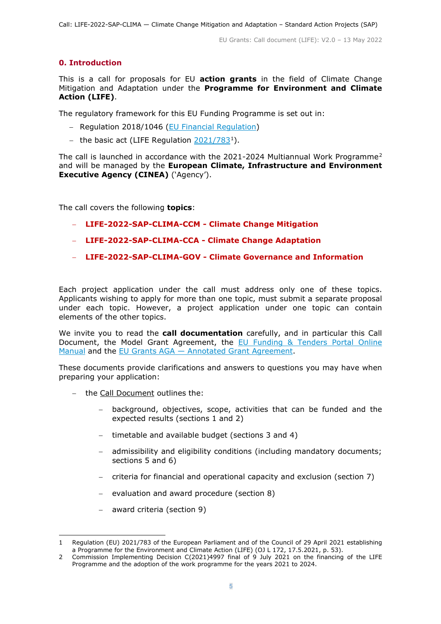## <span id="page-4-0"></span>**0. Introduction**

This is a call for proposals for EU **action grants** in the field of Climate Change Mitigation and Adaptation under the **Programme for Environment and Climate Action (LIFE)**.

The regulatory framework for this EU Funding Programme is set out in:

- − Regulation 2018/1046 [\(EU Financial Regulation\)](https://eur-lex.europa.eu/legal-content/EN/ALL/?uri=CELEX:32018R1046&qid=1535046024012)
- − the basic act (LIFE Regulation [2021/783](https://eur-lex.europa.eu/legal-content/EN/ALL/?uri=CELEX:32021R0783)[1\)](#page-4-1).

The call is launched in accordance with the 2021-2024 Multiannual Work Programme[2](#page-4-2) and will be managed by the **European Climate, Infrastructure and Environment Executive Agency (CINEA)** ('Agency').

The call covers the following **topics**:

- − **LIFE-2022-SAP-CLIMA-CCM - Climate Change Mitigation**
- − **LIFE-2022-SAP-CLIMA-CCA - Climate Change Adaptation**
- − **LIFE-2022-SAP-CLIMA-GOV - Climate Governance and Information**

Each project application under the call must address only one of these topics. Applicants wishing to apply for more than one topic, must submit a separate proposal under each topic. However, a project application under one topic can contain elements of the other topics.

We invite you to read the **call documentation** carefully, and in particular this Call Document, the Model Grant Agreement, the EU Funding & Tenders Portal Online [Manual](https://ec.europa.eu/info/funding-tenders/opportunities/docs/2021-2027/common/guidance/om_en.pdf) and the [EU Grants AGA —](https://ec.europa.eu/info/funding-tenders/opportunities/docs/2021-2027/common/guidance/aga_en.pdf) [Annotated Grant Agreement.](https://ec.europa.eu/info/funding-tenders/opportunities/docs/2021-2027/common/guidance/aga_en.pdf)

These documents provide clarifications and answers to questions you may have when preparing your application:

- − the Call Document outlines the:
	- − background, objectives, scope, activities that can be funded and the expected results (sections 1 and 2)
	- − timetable and available budget (sections 3 and 4)
	- admissibility and eligibility conditions (including mandatory documents; sections 5 and 6)
	- − criteria for financial and operational capacity and exclusion (section 7)
	- − evaluation and award procedure (section 8)
	- − award criteria (section 9)

<span id="page-4-1"></span><sup>1</sup> Regulation (EU) 2021/783 of the European Parliament and of the Council of 29 April 2021 establishing a Programme for the Environment and Climate Action (LIFE) (OJ L 172, 17.5.2021, p. 53).

<span id="page-4-2"></span><sup>2</sup> Commission Implementing Decision C(2021)4997 final of 9 July 2021 on the financing of the LIFE Programme and the adoption of the work programme for the years 2021 to 2024.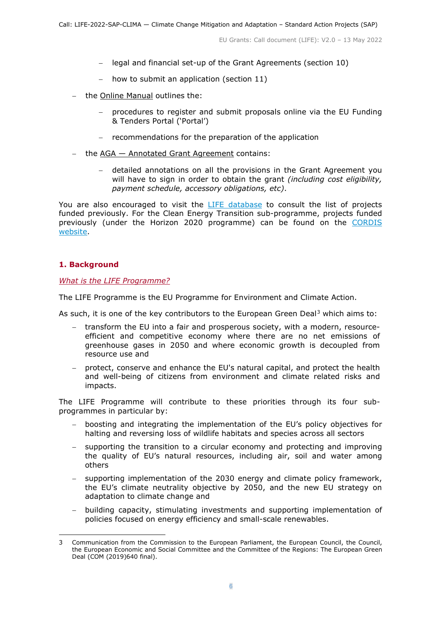- − legal and financial set-up of the Grant Agreements (section 10)
- − how to submit an application (section 11)
- − the Online Manual outlines the:
	- − procedures to register and submit proposals online via the EU Funding & Tenders Portal ('Portal')
	- − recommendations for the preparation of the application
- − the AGA Annotated Grant Agreement contains:
	- − detailed annotations on all the provisions in the Grant Agreement you will have to sign in order to obtain the grant *(including cost eligibility, payment schedule, accessory obligations, etc)*.

You are also encouraged to visit the [LIFE database](https://ec.europa.eu/environment/life/project/Projects/index.cfm) to consult the list of projects funded previously. For the Clean Energy Transition sub-programme, projects funded previously (under the Horizon 2020 programme) can be found on the [CORDIS](https://cordis.europa.eu/projects)  [website.](https://cordis.europa.eu/projects)

## <span id="page-5-0"></span>**1. Background**

#### <span id="page-5-1"></span>*What is the LIFE Programme?*

The LIFE Programme is the EU Programme for Environment and Climate Action.

As such, it is one of the key contributors to the European Green Deal<sup>[3](#page-5-2)</sup> which aims to:

- − transform the EU into a fair and prosperous society, with a modern, resourceefficient and competitive economy where there are no net emissions of greenhouse gases in 2050 and where economic growth is decoupled from resource use and
- − protect, conserve and enhance the EU's natural capital, and protect the health and well-being of citizens from environment and climate related risks and impacts.

The LIFE Programme will contribute to these priorities through its four subprogrammes in particular by:

- − boosting and integrating the implementation of the EU's policy objectives for halting and reversing loss of wildlife habitats and species across all sectors
- supporting the transition to a circular economy and protecting and improving the quality of EU's natural resources, including air, soil and water among others
- supporting implementation of the 2030 energy and climate policy framework, the EU's climate neutrality objective by 2050, and the new EU strategy on adaptation to climate change and
- − building capacity, stimulating investments and supporting implementation of policies focused on energy efficiency and small-scale renewables.

<span id="page-5-2"></span><sup>3</sup> Communication from the Commission to the European Parliament, the European Council, the Council, the European Economic and Social Committee and the Committee of the Regions: The European Green Deal (COM [\(2019\)640](https://eur-lex.europa.eu/legal-content/EN/ALL/?uri=CELEX:52019DC0640) final)[.](https://eur-lex.europa.eu/legal-content/EN/TXT/?uri=COM%3A2019%3A640%3AFIN)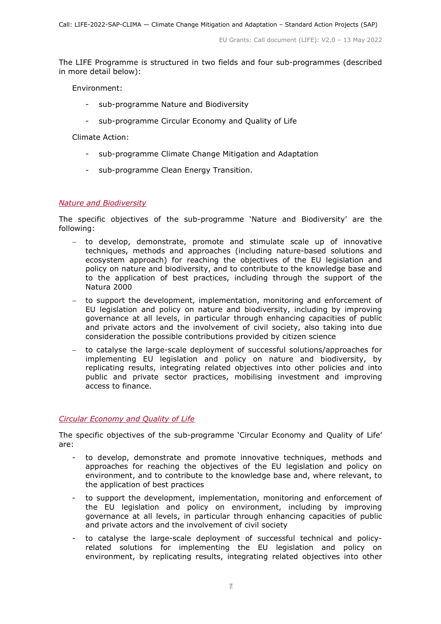The LIFE Programme is structured in two fields and four sub-programmes (described in more detail below):

Environment:

- sub-programme Nature and Biodiversity
- sub-programme Circular Economy and Ouality of Life

Climate Action:

- sub-programme Climate Change Mitigation and Adaptation
- sub-programme Clean Energy Transition.

#### <span id="page-6-0"></span>*Nature and Biodiversity*

The specific objectives of the sub-programme 'Nature and Biodiversity' are the following:

- − to develop, demonstrate, promote and stimulate scale up of innovative techniques, methods and approaches (including nature-based solutions and ecosystem approach) for reaching the objectives of the EU legislation and policy on nature and biodiversity, and to contribute to the knowledge base and to the application of best practices, including through the support of the Natura 2000
- − to support the development, implementation, monitoring and enforcement of EU legislation and policy on nature and biodiversity, including by improving governance at all levels, in particular through enhancing capacities of public and private actors and the involvement of civil society, also taking into due consideration the possible contributions provided by citizen science
- − to catalyse the large-scale deployment of successful solutions/approaches for implementing EU legislation and policy on nature and biodiversity, by replicating results, integrating related objectives into other policies and into public and private sector practices, mobilising investment and improving access to finance.

## <span id="page-6-1"></span>*Circular Economy and Quality of Life*

The specific objectives of the sub-programme 'Circular Economy and Quality of Life' are:

- to develop, demonstrate and promote innovative techniques, methods and approaches for reaching the objectives of the EU legislation and policy on environment, and to contribute to the knowledge base and, where relevant, to the application of best practices
- to support the development, implementation, monitoring and enforcement of the EU legislation and policy on environment, including by improving governance at all levels, in particular through enhancing capacities of public and private actors and the involvement of civil society
- to catalyse the large-scale deployment of successful technical and policyrelated solutions for implementing the EU legislation and policy on environment, by replicating results, integrating related objectives into other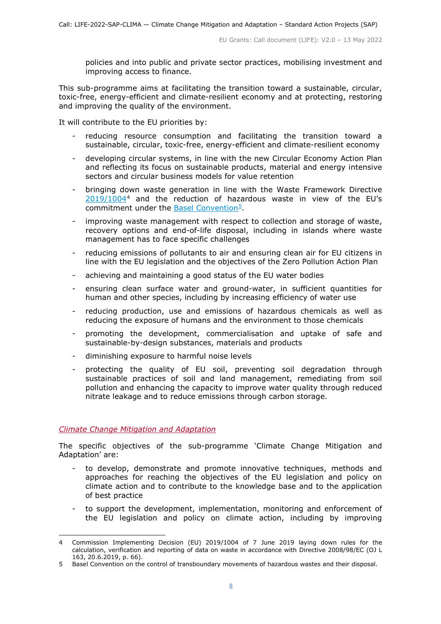policies and into public and private sector practices, mobilising investment and improving access to finance.

This sub-programme aims at facilitating the transition toward a sustainable, circular, toxic-free, energy-efficient and climate-resilient economy and at protecting, restoring and improving the quality of the environment.

It will contribute to the EU priorities by:

- reducing resource consumption and facilitating the transition toward a sustainable, circular, toxic-free, energy-efficient and climate-resilient economy
- developing circular systems, in line with the new Circular Economy Action Plan and reflecting its focus on sustainable products, material and energy intensive sectors and circular business models for value retention
- bringing down waste generation in line with the Waste Framework Directive [2019/1004](https://eur-lex.europa.eu/legal-content/EN/ALL/?uri=CELEX:32019D1004)[4](#page-7-1) and the reduction of hazardous waste in view of the EU's commitment under the Basel Convention<sup>5</sup>.
- improving waste management with respect to collection and storage of waste, recovery options and end-of-life disposal, including in islands where waste management has to face specific challenges
- reducing emissions of pollutants to air and ensuring clean air for EU citizens in line with the EU legislation and the objectives of the Zero Pollution Action Plan
- achieving and maintaining a good status of the EU water bodies
- ensuring clean surface water and ground-water, in sufficient quantities for human and other species, including by increasing efficiency of water use
- reducing production, use and emissions of hazardous chemicals as well as reducing the exposure of humans and the environment to those chemicals
- promoting the development, commercialisation and uptake of safe and sustainable-by-design substances, materials and products
- diminishing exposure to harmful noise levels
- protecting the quality of EU soil, preventing soil degradation through sustainable practices of soil and land management, remediating from soil pollution and enhancing the capacity to improve water quality through reduced nitrate leakage and to reduce emissions through carbon storage.

#### <span id="page-7-0"></span>*Climate Change Mitigation and Adaptation*

The specific objectives of the sub-programme 'Climate Change Mitigation and Adaptation' are:

- to develop, demonstrate and promote innovative techniques, methods and approaches for reaching the objectives of the EU legislation and policy on climate action and to contribute to the knowledge base and to the application of best practice
- to support the development, implementation, monitoring and enforcement of the EU legislation and policy on climate action, including by improving

<span id="page-7-1"></span><sup>4</sup> Commission Implementing Decision (EU) 2019/1004 of 7 June 2019 laying down rules for the calculation, verification and reporting of data on waste in accordance with Directive 2008/98/EC (OJ L 163, 20.6.2019, p. 66).

<span id="page-7-2"></span><sup>5</sup> Basel Convention on the control of transboundary movements of hazardous wastes and their disposal.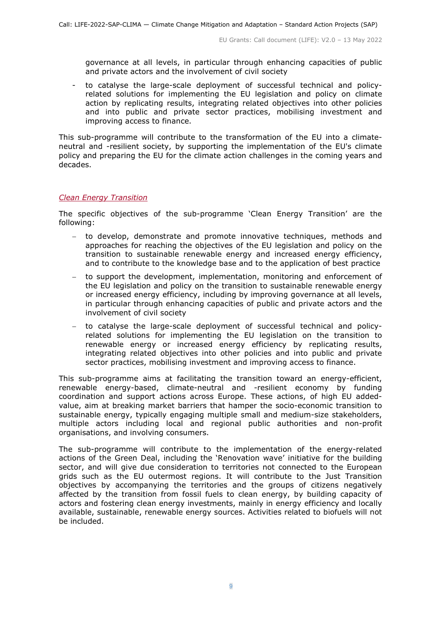governance at all levels, in particular through enhancing capacities of public and private actors and the involvement of civil society

- to catalyse the large-scale deployment of successful technical and policyrelated solutions for implementing the EU legislation and policy on climate action by replicating results, integrating related objectives into other policies and into public and private sector practices, mobilising investment and improving access to finance.

This sub-programme will contribute to the transformation of the EU into a climateneutral and -resilient society, by supporting the implementation of the EU's climate policy and preparing the EU for the climate action challenges in the coming years and decades.

#### <span id="page-8-0"></span>*Clean Energy Transition*

The specific objectives of the sub-programme 'Clean Energy Transition' are the following:

- − to develop, demonstrate and promote innovative techniques, methods and approaches for reaching the objectives of the EU legislation and policy on the transition to sustainable renewable energy and increased energy efficiency, and to contribute to the knowledge base and to the application of best practice
- − to support the development, implementation, monitoring and enforcement of the EU legislation and policy on the transition to sustainable renewable energy or increased energy efficiency, including by improving governance at all levels, in particular through enhancing capacities of public and private actors and the involvement of civil society
- − to catalyse the large-scale deployment of successful technical and policyrelated solutions for implementing the EU legislation on the transition to renewable energy or increased energy efficiency by replicating results, integrating related objectives into other policies and into public and private sector practices, mobilising investment and improving access to finance.

This sub-programme aims at facilitating the transition toward an energy-efficient, renewable energy-based, climate-neutral and -resilient economy by funding coordination and support actions across Europe. These actions, of high EU addedvalue, aim at breaking market barriers that hamper the socio-economic transition to sustainable energy, typically engaging multiple small and medium-size stakeholders, multiple actors including local and regional public authorities and non-profit organisations, and involving consumers.

The sub-programme will contribute to the implementation of the energy-related actions of the Green Deal, including the 'Renovation wave' initiative for the building sector, and will give due consideration to territories not connected to the European grids such as the EU outermost regions. It will contribute to the Just Transition objectives by accompanying the territories and the groups of citizens negatively affected by the transition from fossil fuels to clean energy, by building capacity of actors and fostering clean energy investments, mainly in energy efficiency and locally available, sustainable, renewable energy sources. Activities related to biofuels will not be included.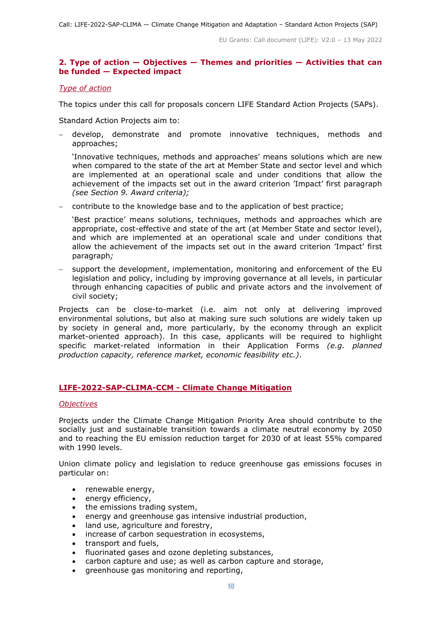## <span id="page-9-0"></span>**2. Type of action — Objectives — Themes and priorities — Activities that can be funded — Expected impact**

#### <span id="page-9-1"></span>*Type of action*

The topics under this call for proposals concern LIFE Standard Action Projects (SAPs).

Standard Action Projects aim to:

− develop, demonstrate and promote innovative techniques, methods and approaches;

'Innovative techniques, methods and approaches' means solutions which are new when compared to the state of the art at Member State and sector level and which are implemented at an operational scale and under conditions that allow the achievement of the impacts set out in the award criterion 'Impact' first paragraph *(see Section 9. Award criteria);*

− contribute to the knowledge base and to the application of best practice;

'Best practice' means solutions, techniques, methods and approaches which are appropriate, cost-effective and state of the art (at Member State and sector level), and which are implemented at an operational scale and under conditions that allow the achievement of the impacts set out in the award criterion 'Impact' first paragraph*;*

− support the development, implementation, monitoring and enforcement of the EU legislation and policy, including by improving governance at all levels, in particular through enhancing capacities of public and private actors and the involvement of civil society;

Projects can be close-to-market (i.e. aim not only at delivering improved environmental solutions, but also at making sure such solutions are widely taken up by society in general and, more particularly, by the economy through an explicit market-oriented approach). In this case, applicants will be required to highlight specific market-related information in their Application Forms *(e.g. planned production capacity, reference market, economic feasibility etc.)*.

## <span id="page-9-2"></span>**LIFE-2022-SAP-CLIMA-CCM - Climate Change Mitigation**

#### <span id="page-9-3"></span>*Objectives*

Projects under the Climate Change Mitigation Priority Area should contribute to the socially just and sustainable transition towards a climate neutral economy by 2050 and to reaching the EU emission reduction target for 2030 of at least 55% compared with 1990 levels.

Union climate policy and legislation to reduce greenhouse gas emissions focuses in particular on:

- renewable energy,
- energy efficiency,
- the emissions trading system,
- energy and greenhouse gas intensive industrial production,
- land use, agriculture and forestry,
- increase of carbon sequestration in ecosystems,
- transport and fuels,
- fluorinated gases and ozone depleting substances,
- carbon capture and use; as well as carbon capture and storage,
- greenhouse gas monitoring and reporting,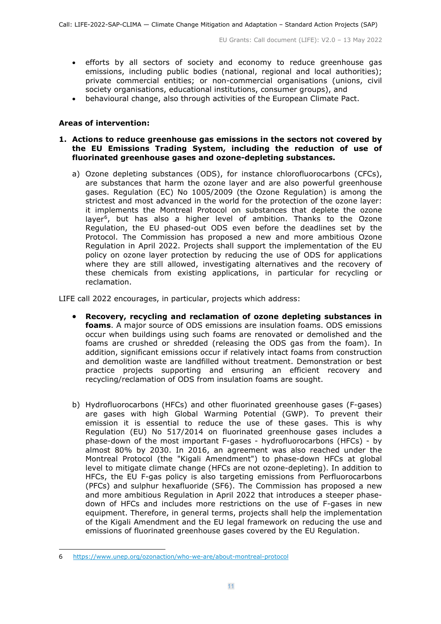- efforts by all sectors of society and economy to reduce greenhouse gas emissions, including public bodies (national, regional and local authorities); private commercial entities; or non-commercial organisations (unions, civil society organisations, educational institutions, consumer groups), and
- behavioural change, also through activities of the European Climate Pact.

## **Areas of intervention:**

#### **1. Actions to reduce greenhouse gas emissions in the sectors not covered by the EU Emissions Trading System, including the reduction of use of fluorinated greenhouse gases and ozone-depleting substances.**

a) Ozone depleting substances (ODS), for instance chlorofluorocarbons (CFCs), are substances that harm the ozone layer and are also powerful greenhouse gases. Regulation (EC) No 1005/2009 (the Ozone Regulation) is among the strictest and most advanced in the world for the protection of the ozone layer: it implements the Montreal Protocol on substances that deplete the ozone layer<sup>6</sup>, but has also a higher level of ambition. Thanks to the Ozone Regulation, the EU phased-out ODS even before the deadlines set by the Protocol. The Commission has proposed a new and more ambitious Ozone Regulation in April 2022. Projects shall support the implementation of the EU policy on ozone layer protection by reducing the use of ODS for applications where they are still allowed, investigating alternatives and the recovery of these chemicals from existing applications, in particular for recycling or reclamation.

LIFE call 2022 encourages, in particular, projects which address:

- **Recovery, recycling and reclamation of ozone depleting substances in foams**. A major source of ODS emissions are insulation foams. ODS emissions occur when buildings using such foams are renovated or demolished and the foams are crushed or shredded (releasing the ODS gas from the foam). In addition, significant emissions occur if relatively intact foams from construction and demolition waste are landfilled without treatment. Demonstration or best practice projects supporting and ensuring an efficient recovery and recycling/reclamation of ODS from insulation foams are sought.
- b) Hydrofluorocarbons (HFCs) and other fluorinated greenhouse gases (F-gases) are gases with high Global Warming Potential (GWP). To prevent their emission it is essential to reduce the use of these gases. This is why Regulation (EU) No 517/2014 on fluorinated greenhouse gases includes a phase-down of the most important F-gases - hydrofluorocarbons (HFCs) - by almost 80% by 2030. In 2016, an agreement was also reached under the Montreal Protocol (the "Kigali Amendment") to phase-down HFCs at global level to mitigate climate change (HFCs are not ozone-depleting). In addition to HFCs, the EU F-gas policy is also targeting emissions from Perfluorocarbons (PFCs) and sulphur hexafluoride (SF6). The Commission has proposed a new and more ambitious Regulation in April 2022 that introduces a steeper phasedown of HFCs and includes more restrictions on the use of F-gases in new equipment. Therefore, in general terms, projects shall help the implementation of the Kigali Amendment and the EU legal framework on reducing the use and emissions of fluorinated greenhouse gases covered by the EU Regulation.

<span id="page-10-0"></span><sup>6</sup> <https://www.unep.org/ozonaction/who-we-are/about-montreal-protocol>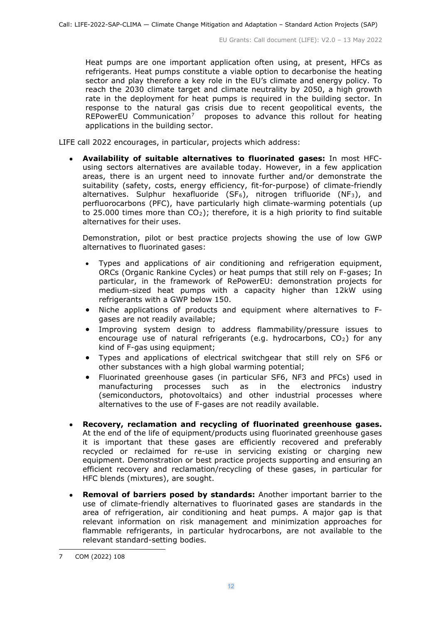Heat pumps are one important application often using, at present, HFCs as refrigerants. Heat pumps constitute a viable option to decarbonise the heating sector and play therefore a key role in the EU's climate and energy policy. To reach the 2030 climate target and climate neutrality by 2050, a high growth rate in the deployment for heat pumps is required in the building sector. In response to the natural gas crisis due to recent geopolitical events, the REPowerEU Communication<sup>[7](#page-11-0)</sup> proposes to advance this rollout for heating applications in the building sector.

LIFE call 2022 encourages, in particular, projects which address:

• **Availability of suitable alternatives to fluorinated gases:** In most HFCusing sectors alternatives are available today. However, in a few application areas, there is an urgent need to innovate further and/or demonstrate the suitability (safety, costs, energy efficiency, fit-for-purpose) of climate-friendly alternatives. Sulphur hexafluoride (SF<sub>6</sub>), nitrogen trifluoride (NF<sub>3</sub>), and perfluorocarbons (PFC), have particularly high climate-warming potentials (up to 25.000 times more than  $CO<sub>2</sub>$ ); therefore, it is a high priority to find suitable alternatives for their uses.

Demonstration, pilot or best practice projects showing the use of low GWP alternatives to fluorinated gases:

- Types and applications of air conditioning and refrigeration equipment, ORCs (Organic Rankine Cycles) or heat pumps that still rely on F-gases; In particular, in the framework of RePowerEU: demonstration projects for medium-sized heat pumps with a capacity higher than 12kW using refrigerants with a GWP below 150.
- Niche applications of products and equipment where alternatives to Fgases are not readily available;
- Improving system design to address flammability/pressure issues to encourage use of natural refrigerants (e.g. hydrocarbons,  $CO<sub>2</sub>$ ) for any kind of F-gas using equipment;
- Types and applications of electrical switchgear that still rely on SF6 or other substances with a high global warming potential;
- Fluorinated greenhouse gases (in particular SF6, NF3 and PFCs) used in manufacturing processes such as in the electronics industry (semiconductors, photovoltaics) and other industrial processes where alternatives to the use of F-gases are not readily available.
- **Recovery, reclamation and recycling of fluorinated greenhouse gases.**  At the end of the life of equipment/products using fluorinated greenhouse gases it is important that these gases are efficiently recovered and preferably recycled or reclaimed for re-use in servicing existing or charging new equipment. Demonstration or best practice projects supporting and ensuring an efficient recovery and reclamation/recycling of these gases, in particular for HFC blends (mixtures), are sought.
- **Removal of barriers posed by standards:** Another important barrier to the use of climate-friendly alternatives to fluorinated gases are standards in the area of refrigeration, air conditioning and heat pumps. A major gap is that relevant information on risk management and minimization approaches for flammable refrigerants, in particular hydrocarbons, are not available to the relevant standard-setting bodies.

<span id="page-11-0"></span><sup>7</sup> COM (2022) 108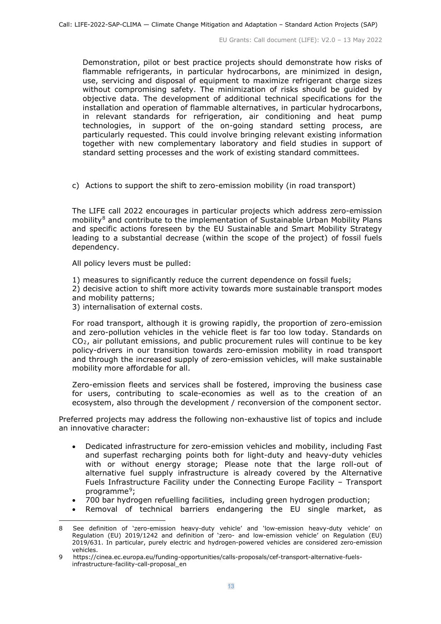Demonstration, pilot or best practice projects should demonstrate how risks of flammable refrigerants, in particular hydrocarbons, are minimized in design, use, servicing and disposal of equipment to maximize refrigerant charge sizes without compromising safety. The minimization of risks should be guided by objective data. The development of additional technical specifications for the installation and operation of flammable alternatives, in particular hydrocarbons, in relevant standards for refrigeration, air conditioning and heat pump technologies, in support of the on-going standard setting process, are particularly requested. This could involve bringing relevant existing information together with new complementary laboratory and field studies in support of standard setting processes and the work of existing standard committees.

c) Actions to support the shift to zero-emission mobility (in road transport)

The LIFE call 2022 encourages in particular projects which address zero-emission mobility $8$  and contribute to the implementation of Sustainable Urban Mobility Plans and specific actions foreseen by the EU Sustainable and Smart Mobility Strategy leading to a substantial decrease (within the scope of the project) of fossil fuels dependency.

All policy levers must be pulled:

1) measures to significantly reduce the current dependence on fossil fuels;

2) decisive action to shift more activity towards more sustainable transport modes and mobility patterns;

3) internalisation of external costs.

For road transport, although it is growing rapidly, the proportion of zero-emission and zero-pollution vehicles in the vehicle fleet is far too low today. Standards on CO2, air pollutant emissions, and public procurement rules will continue to be key policy-drivers in our transition towards zero-emission mobility in road transport and through the increased supply of zero-emission vehicles, will make sustainable mobility more affordable for all.

Zero-emission fleets and services shall be fostered, improving the business case for users, contributing to scale-economies as well as to the creation of an ecosystem, also through the development / reconversion of the component sector.

Preferred projects may address the following non-exhaustive list of topics and include an innovative character:

- Dedicated infrastructure for zero-emission vehicles and mobility, including Fast and superfast recharging points both for light-duty and heavy-duty vehicles with or without energy storage; Please note that the large roll-out of alternative fuel supply infrastructure is already covered by the Alternative Fuels Infrastructure Facility under the Connecting Europe Facility – Transport programme<sup>9</sup>;
- 700 bar hydrogen refuelling facilities, including green hydrogen production;
- Removal of technical barriers endangering the EU single market, as

<span id="page-12-0"></span><sup>8</sup> See definition of 'zero-emission heavy-duty vehicle' and 'low-emission heavy-duty vehicle' on Regulation (EU) 2019/1242 and definition of 'zero- and low-emission vehicle' on Regulation (EU) 2019/631. In particular, purely electric and hydrogen-powered vehicles are considered zero-emission vehicles.

<span id="page-12-1"></span><sup>9</sup> [https://cinea.ec.europa.eu/funding-opportunities/calls-proposals/cef-transport-alternative-fuels](https://cinea.ec.europa.eu/funding-opportunities/calls-proposals/cef-transport-alternative-fuels-%20infrastructure-facility-call-proposal_en)[infrastructure-facility-call-proposal\\_en](https://cinea.ec.europa.eu/funding-opportunities/calls-proposals/cef-transport-alternative-fuels-%20infrastructure-facility-call-proposal_en)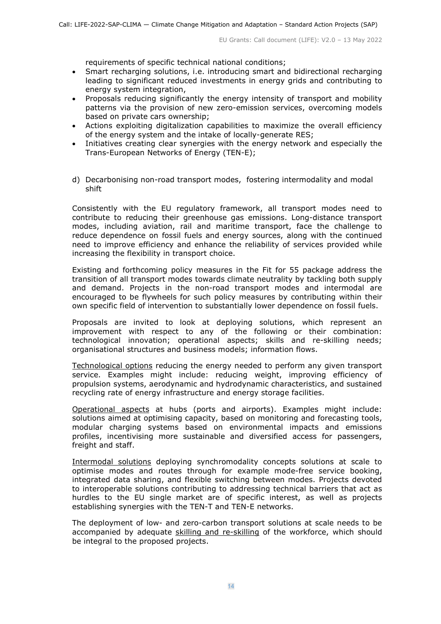requirements of specific technical national conditions;

- Smart recharging solutions, i.e. introducing smart and bidirectional recharging leading to significant reduced investments in energy grids and contributing to energy system integration,
- Proposals reducing significantly the energy intensity of transport and mobility patterns via the provision of new zero-emission services, overcoming models based on private cars ownership;
- Actions exploiting digitalization capabilities to maximize the overall efficiency of the energy system and the intake of locally-generate RES;
- Initiatives creating clear synergies with the energy network and especially the Trans-European Networks of Energy (TEN-E);
- d) Decarbonising non-road transport modes, fostering intermodality and modal shift

Consistently with the EU regulatory framework, all transport modes need to contribute to reducing their greenhouse gas emissions. Long-distance transport modes, including aviation, rail and maritime transport, face the challenge to reduce dependence on fossil fuels and energy sources, along with the continued need to improve efficiency and enhance the reliability of services provided while increasing the flexibility in transport choice.

Existing and forthcoming policy measures in the Fit for 55 package address the transition of all transport modes towards climate neutrality by tackling both supply and demand. Projects in the non-road transport modes and intermodal are encouraged to be flywheels for such policy measures by contributing within their own specific field of intervention to substantially lower dependence on fossil fuels.

Proposals are invited to look at deploying solutions, which represent an improvement with respect to any of the following or their combination: technological innovation; operational aspects; skills and re-skilling needs; organisational structures and business models; information flows.

Technological options reducing the energy needed to perform any given transport service. Examples might include: reducing weight, improving efficiency of propulsion systems, aerodynamic and hydrodynamic characteristics, and sustained recycling rate of energy infrastructure and energy storage facilities.

Operational aspects at hubs (ports and airports). Examples might include: solutions aimed at optimising capacity, based on monitoring and forecasting tools, modular charging systems based on environmental impacts and emissions profiles, incentivising more sustainable and diversified access for passengers, freight and staff.

Intermodal solutions deploying synchromodality concepts solutions at scale to optimise modes and routes through for example mode-free service booking, integrated data sharing, and flexible switching between modes. Projects devoted to interoperable solutions contributing to addressing technical barriers that act as hurdles to the EU single market are of specific interest, as well as projects establishing synergies with the TEN-T and TEN-E networks.

The deployment of low- and zero-carbon transport solutions at scale needs to be accompanied by adequate skilling and re-skilling of the workforce, which should be integral to the proposed projects.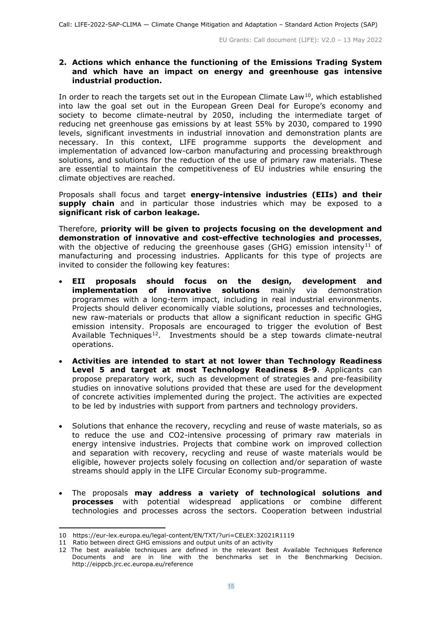#### **2. Actions which enhance the functioning of the Emissions Trading System and which have an impact on energy and greenhouse gas intensive industrial production.**

In order to reach the targets set out in the European Climate  $Law^{10}$ , which established into law the goal set out in the European Green Deal for Europe's economy and society to become climate-neutral by 2050, including the intermediate target of reducing net greenhouse gas emissions by at least 55% by 2030, compared to 1990 levels, significant investments in industrial innovation and demonstration plants are necessary. In this context, LIFE programme supports the development and implementation of advanced low-carbon manufacturing and processing breakthrough solutions, and solutions for the reduction of the use of primary raw materials. These are essential to maintain the competitiveness of EU industries while ensuring the climate objectives are reached.

Proposals shall focus and target **energy-intensive industries (EIIs) and their supply chain** and in particular those industries which may be exposed to a **significant risk of carbon leakage.**

Therefore, **priority will be given to projects focusing on the development and demonstration of innovative and cost-effective technologies and processes**, with the objective of reducing the greenhouse gases (GHG) emission intensity<sup>[11](#page-14-1)</sup> of manufacturing and processing industries. Applicants for this type of projects are invited to consider the following key features:

- **EII proposals should focus on the design, development and implementation of innovative solutions** mainly via demonstration programmes with a long-term impact, including in real industrial environments. Projects should deliver economically viable solutions, processes and technologies, new raw-materials or products that allow a significant reduction in specific GHG emission intensity. Proposals are encouraged to trigger the evolution of Best Available Techniques<sup>12</sup>. Investments should be a step towards climate-neutral operations.
- **Activities are intended to start at not lower than Technology Readiness Level 5 and target at most Technology Readiness 8-9**. Applicants can propose preparatory work, such as development of strategies and pre-feasibility studies on innovative solutions provided that these are used for the development of concrete activities implemented during the project. The activities are expected to be led by industries with support from partners and technology providers.
- Solutions that enhance the recovery, recycling and reuse of waste materials, so as to reduce the use and CO2-intensive processing of primary raw materials in energy intensive industries. Projects that combine work on improved collection and separation with recovery, recycling and reuse of waste materials would be eligible, however projects solely focusing on collection and/or separation of waste streams should apply in the LIFE Circular Economy sub-programme.
- The proposals **may address a variety of technological solutions and processes** with potential widespread applications or combine different technologies and processes across the sectors. Cooperation between industrial

<span id="page-14-1"></span><span id="page-14-0"></span><sup>10</sup> https://eur-lex.europa.eu/legal-content/EN/TXT/?uri=CELEX:32021R1119

<sup>11</sup> Ratio between direct GHG emissions and output units of an activity

<span id="page-14-2"></span><sup>12</sup> The best available techniques are defined in the relevant Best Available Techniques Reference Documents and are in line with the benchmarks set in the Benchmarking Decision. <http://eippcb.jrc.ec.europa.eu/reference>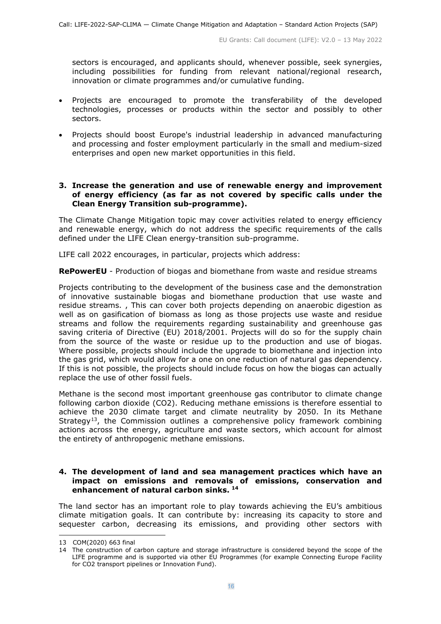sectors is encouraged, and applicants should, whenever possible, seek synergies, including possibilities for funding from relevant national/regional research, innovation or climate programmes and/or cumulative funding.

- Projects are encouraged to promote the transferability of the developed technologies, processes or products within the sector and possibly to other sectors.
- Projects should boost Europe's industrial leadership in advanced manufacturing and processing and foster employment particularly in the small and medium-sized enterprises and open new market opportunities in this field.

#### **3. Increase the generation and use of renewable energy and improvement of energy efficiency (as far as not covered by specific calls under the Clean Energy Transition sub-programme).**

The Climate Change Mitigation topic may cover activities related to energy efficiency and renewable energy, which do not address the specific requirements of the calls defined under the LIFE Clean energy-transition sub-programme.

LIFE call 2022 encourages, in particular, projects which address:

**RePowerEU** - Production of biogas and biomethane from waste and residue streams

Projects contributing to the development of the business case and the demonstration of innovative sustainable biogas and biomethane production that use waste and residue streams. , This can cover both projects depending on anaerobic digestion as well as on gasification of biomass as long as those projects use waste and residue streams and follow the requirements regarding sustainability and greenhouse gas saving criteria of Directive (EU) 2018/2001. Projects will do so for the supply chain from the source of the waste or residue up to the production and use of biogas. Where possible, projects should include the upgrade to biomethane and injection into the gas grid, which would allow for a one on one reduction of natural gas dependency. If this is not possible, the projects should include focus on how the biogas can actually replace the use of other fossil fuels.

Methane is the second most important greenhouse gas contributor to climate change following carbon dioxide (CO2). Reducing methane emissions is therefore essential to achieve the 2030 climate target and climate neutrality by 2050. In its Methane Strategy<sup>[13](#page-15-0)</sup>, the Commission outlines a comprehensive policy framework combining actions across the energy, agriculture and waste sectors, which account for almost the entirety of anthropogenic methane emissions.

#### **4. The development of land and sea management practices which have an impact on emissions and removals of emissions, conservation and enhancement of natural carbon sinks. [14](#page-15-1)**

The land sector has an important role to play towards achieving the EU's ambitious climate mitigation goals. It can contribute by: increasing its capacity to store and sequester carbon, decreasing its emissions, and providing other sectors with

<span id="page-15-0"></span><sup>13</sup> COM(2020) 663 final

<span id="page-15-1"></span><sup>14</sup> The construction of carbon capture and storage infrastructure is considered beyond the scope of the LIFE programme and is supported via other EU Programmes (for example Connecting Europe Facility for CO2 transport pipelines or Innovation Fund).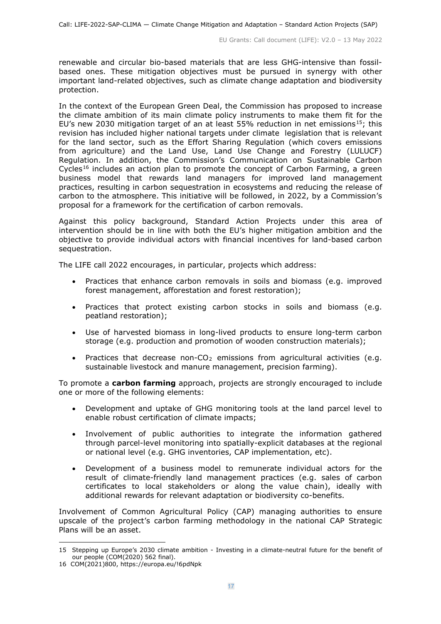renewable and circular bio-based materials that are less GHG-intensive than fossilbased ones. These mitigation objectives must be pursued in synergy with other important land-related objectives, such as climate change adaptation and biodiversity protection.

In the context of the European Green Deal, the Commission has proposed to increase the climate ambition of its main climate policy instruments to make them fit for the EU's new 2030 mitigation target of an at least 55% reduction in net emissions<sup>[15](#page-16-0)</sup>; this revision has included higher national targets under climate legislation that is relevant for the land sector, such as the Effort Sharing Regulation (which covers emissions from agriculture) and the Land Use, Land Use Change and Forestry (LULUCF) Regulation. In addition, the Commission's Communication on Sustainable Carbon Cycles<sup>[16](#page-16-1)</sup> includes an action plan to promote the concept of Carbon Farming, a green business model that rewards land managers for improved land management practices, resulting in carbon sequestration in ecosystems and reducing the release of carbon to the atmosphere. This initiative will be followed, in 2022, by a Commission's proposal for a framework for the certification of carbon removals.

Against this policy background, Standard Action Projects under this area of intervention should be in line with both the EU's higher mitigation ambition and the objective to provide individual actors with financial incentives for land-based carbon sequestration.

The LIFE call 2022 encourages, in particular, projects which address:

- Practices that enhance carbon removals in soils and biomass (e.g. improved forest management, afforestation and forest restoration);
- Practices that protect existing carbon stocks in soils and biomass (e.g. peatland restoration);
- Use of harvested biomass in long-lived products to ensure long-term carbon storage (e.g. production and promotion of wooden construction materials);
- Practices that decrease non- $CO<sub>2</sub>$  emissions from agricultural activities (e.g. sustainable livestock and manure management, precision farming).

To promote a **carbon farming** approach, projects are strongly encouraged to include one or more of the following elements:

- Development and uptake of GHG monitoring tools at the land parcel level to enable robust certification of climate impacts;
- Involvement of public authorities to integrate the information gathered through parcel-level monitoring into spatially-explicit databases at the regional or national level (e.g. GHG inventories, CAP implementation, etc).
- Development of a business model to remunerate individual actors for the result of climate-friendly land management practices (e.g. sales of carbon certificates to local stakeholders or along the value chain), ideally with additional rewards for relevant adaptation or biodiversity co-benefits.

Involvement of Common Agricultural Policy (CAP) managing authorities to ensure upscale of the project's carbon farming methodology in the national CAP Strategic Plans will be an asset.

<span id="page-16-0"></span><sup>15</sup> Stepping up Europe's 2030 climate ambition - Investing in a climate-neutral future for the benefit of our people (COM(2020) 562 final).

<span id="page-16-1"></span><sup>16</sup> COM(2021)800,<https://europa.eu/!6pdNpk>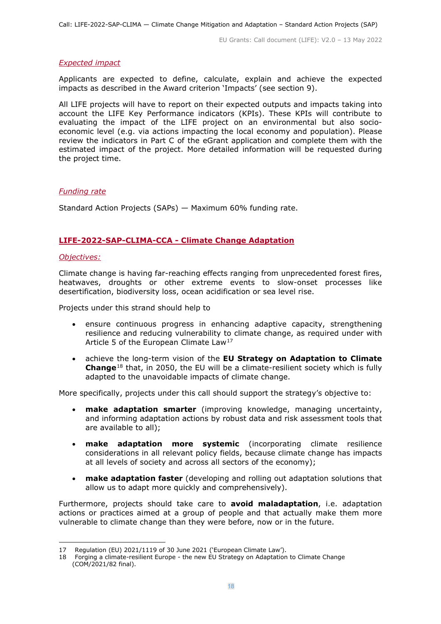#### <span id="page-17-0"></span>*Expected impact*

Applicants are expected to define, calculate, explain and achieve the expected impacts as described in the Award criterion 'Impacts' (see section 9).

All LIFE projects will have to report on their expected outputs and impacts taking into account the LIFE Key Performance indicators (KPIs). These KPIs will contribute to evaluating the impact of the LIFE project on an environmental but also socioeconomic level (e.g. via actions impacting the local economy and population). Please review the indicators in Part C of the eGrant application and complete them with the estimated impact of the project. More detailed information will be requested during the project time.

## <span id="page-17-1"></span>*Funding rate*

Standard Action Projects (SAPs) — Maximum 60% funding rate.

## <span id="page-17-2"></span>**LIFE-2022-SAP-CLIMA-CCA - Climate Change Adaptation**

#### <span id="page-17-3"></span>*Objectives:*

Climate change is having far-reaching effects ranging from unprecedented forest fires, heatwaves, droughts or other extreme events to slow-onset processes like desertification, biodiversity loss, ocean acidification or sea level rise.

Projects under this strand should help to

- ensure continuous progress in enhancing adaptive capacity, strengthening resilience and reducing vulnerability to climate change, as required under with Article 5 of the European Climate Law<sup>[17](#page-17-4)</sup>
- achieve the long-term vision of the **EU Strategy on Adaptation to Climate Change**[18](#page-17-5) that, in 2050, the EU will be a climate-resilient society which is fully adapted to the unavoidable impacts of climate change.

More specifically, projects under this call should support the strategy's objective to:

- **make adaptation smarter** (improving knowledge, managing uncertainty, and informing adaptation actions by robust data and risk assessment tools that are available to all);
- **make adaptation more systemic** (incorporating climate resilience considerations in all relevant policy fields, because climate change has impacts at all levels of society and across all sectors of the economy);
- **make adaptation faster** (developing and rolling out adaptation solutions that allow us to adapt more quickly and comprehensively).

Furthermore, projects should take care to **avoid maladaptation**, i.e. adaptation actions or practices aimed at a group of people and that actually make them more vulnerable to climate change than they were before, now or in the future.

<span id="page-17-4"></span><sup>17</sup> Regulation (EU) 2021/1119 of 30 June 2021 ('European Climate Law').

<span id="page-17-5"></span><sup>17</sup> Regulation (EU) 2021/1119 or Journ 2021 (European Chinate Carr ).<br>18 Forging a climate-resilient Europe - the new EU Strategy on Adaptation to Climate Change (COM/2021/82 final).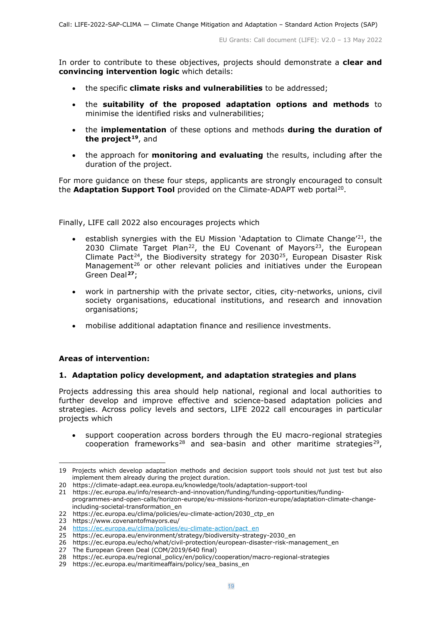In order to contribute to these objectives, projects should demonstrate a **clear and convincing intervention logic** which details:

- the specific **climate risks and vulnerabilities** to be addressed;
- the **suitability of the proposed adaptation options and methods** to minimise the identified risks and vulnerabilities;
- the **implementation** of these options and methods **during the duration of the project[19](#page-18-0)**, and
- the approach for **monitoring and evaluating** the results, including after the duration of the project.

For more guidance on these four steps, applicants are strongly encouraged to consult the **Adaptation Support Tool** provided on the Climate-ADAPT web portal[20](#page-18-1).

Finally, LIFE call 2022 also encourages projects which

- establish synergies with the EU Mission 'Adaptation to Climate Change<sup>'[21](#page-18-2)</sup>, the 2030 Climate Target Plan<sup>22</sup>, the EU Covenant of Mayors<sup>23</sup>, the European Climate Pact<sup>[24](#page-18-5)</sup>, the Biodiversity strategy for 2030<sup>25</sup>, European Disaster Risk Management<sup>[26](#page-18-7)</sup> or other relevant policies and initiatives under the European Green Deal**[27](#page-18-8)**;
- work in partnership with the private sector, cities, city-networks, unions, civil society organisations, educational institutions, and research and innovation organisations;
- mobilise additional adaptation finance and resilience investments.

#### **Areas of intervention:**

#### **1. Adaptation policy development, and adaptation strategies and plans**

Projects addressing this area should help national, regional and local authorities to further develop and improve effective and science-based adaptation policies and strategies. Across policy levels and sectors, LIFE 2022 call encourages in particular projects which

• support cooperation across borders through the EU macro-regional strategies cooperation frameworks<sup>[28](#page-18-9)</sup> and sea-basin and other maritime strategies<sup>[29](#page-18-10)</sup>,

<span id="page-18-0"></span><sup>19</sup> Projects which develop adaptation methods and decision support tools should not just test but also implement them already during the project duration.

<span id="page-18-1"></span><sup>20</sup> <https://climate-adapt.eea.europa.eu/knowledge/tools/adaptation-support-tool>

<span id="page-18-2"></span><sup>21</sup> https://ec.europa.eu/info/research-and-innovation/funding/funding-opportunities/fundingprogrammes-and-open-calls/horizon-europe/eu-missions-horizon-europe/adaptation-climate-changeincluding-societal-transformation\_en

<span id="page-18-3"></span><sup>22</sup> [https://ec.europa.eu/clima/policies/eu-climate-action/2030\\_ctp\\_en](https://ec.europa.eu/clima/policies/eu-climate-action/2030_ctp_en)

<span id="page-18-4"></span><sup>23</sup> <https://www.covenantofmayors.eu/>

<span id="page-18-5"></span><sup>24</sup> [https://ec.europa.eu/clima/policies/eu-climate-action/pact\\_en](https://ec.europa.eu/clima/policies/eu-climate-action/pact_en)

<span id="page-18-6"></span><sup>25</sup> [https://ec.europa.eu/environment/strategy/biodiversity-strategy-2030\\_en](https://ec.europa.eu/environment/strategy/biodiversity-strategy-2030_en)

<span id="page-18-7"></span><sup>26</sup> [https://ec.europa.eu/echo/what/civil-protection/european-disaster-risk-management\\_en](https://ec.europa.eu/echo/what/civil-protection/european-disaster-risk-management_en)

<span id="page-18-8"></span><sup>27</sup> The European Green Deal (COM/2019/640 final)

<span id="page-18-9"></span><sup>28</sup> [https://ec.europa.eu/regional\\_policy/en/policy/cooperation/macro-regional-strategies](https://ec.europa.eu/regional_policy/en/policy/cooperation/macro-regional-strategies)

<span id="page-18-10"></span><sup>29</sup> https://ec.europa.eu/maritimeaffairs/policy/sea basins en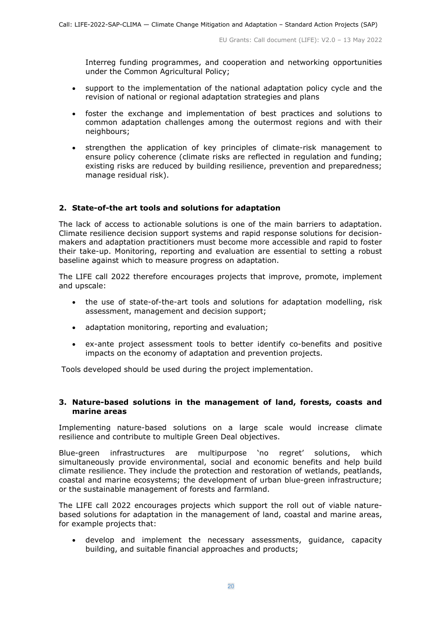Interreg funding programmes, and cooperation and networking opportunities under the Common Agricultural Policy;

- support to the implementation of the national adaptation policy cycle and the revision of national or regional adaptation strategies and plans
- foster the exchange and implementation of best practices and solutions to common adaptation challenges among the outermost regions and with their neighbours;
- strengthen the application of key principles of climate-risk management to ensure policy coherence (climate risks are reflected in regulation and funding; existing risks are reduced by building resilience, prevention and preparedness; manage residual risk).

## **2. State-of-the art tools and solutions for adaptation**

The lack of access to actionable solutions is one of the main barriers to adaptation. Climate resilience decision support systems and rapid response solutions for decisionmakers and adaptation practitioners must become more accessible and rapid to foster their take-up. Monitoring, reporting and evaluation are essential to setting a robust baseline against which to measure progress on adaptation.

The LIFE call 2022 therefore encourages projects that improve, promote, implement and upscale:

- the use of state-of-the-art tools and solutions for adaptation modelling, risk assessment, management and decision support;
- adaptation monitoring, reporting and evaluation;
- ex-ante project assessment tools to better identify co-benefits and positive impacts on the economy of adaptation and prevention projects.

Tools developed should be used during the project implementation.

#### **3. Nature-based solutions in the management of land, forests, coasts and marine areas**

Implementing nature-based solutions on a large scale would increase climate resilience and contribute to multiple Green Deal objectives.

Blue-green infrastructures are multipurpose 'no regret' solutions, which simultaneously provide environmental, social and economic benefits and help build climate resilience. They include the protection and restoration of wetlands, peatlands, coastal and marine ecosystems; the development of urban blue-green infrastructure; or the sustainable management of forests and farmland.

The LIFE call 2022 encourages projects which support the roll out of viable naturebased solutions for adaptation in the management of land, coastal and marine areas, for example projects that:

• develop and implement the necessary assessments, guidance, capacity building, and suitable financial approaches and products;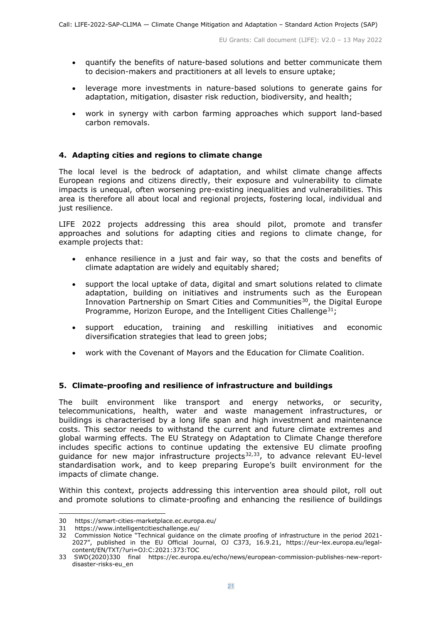- quantify the benefits of nature-based solutions and better communicate them to decision-makers and practitioners at all levels to ensure uptake;
- leverage more investments in nature-based solutions to generate gains for adaptation, mitigation, disaster risk reduction, biodiversity, and health;
- work in synergy with carbon farming approaches which support land-based carbon removals.

## **4. Adapting cities and regions to climate change**

The local level is the bedrock of adaptation, and whilst climate change affects European regions and citizens directly, their exposure and vulnerability to climate impacts is unequal, often worsening pre-existing inequalities and vulnerabilities. This area is therefore all about local and regional projects, fostering local, individual and just resilience.

LIFE 2022 projects addressing this area should pilot, promote and transfer approaches and solutions for adapting cities and regions to climate change, for example projects that:

- enhance resilience in a just and fair way, so that the costs and benefits of climate adaptation are widely and equitably shared;
- support the local uptake of data, digital and smart solutions related to climate adaptation, building on initiatives and instruments such as the European Innovation Partnership on Smart Cities and Communities<sup>[30](#page-20-0)</sup>, the Digital Europe Programme, Horizon Europe, and the Intelligent Cities Challenge<sup>[31](#page-20-1)</sup>;
- support education, training and reskilling initiatives and economic diversification strategies that lead to green jobs;
- work with the Covenant of Mayors and the Education for Climate Coalition.

## **5. Climate-proofing and resilience of infrastructure and buildings**

The built environment like transport and energy networks, or security, telecommunications, health, water and waste management infrastructures, or buildings is characterised by a long life span and high investment and maintenance costs. This sector needs to withstand the current and future climate extremes and global warming effects. The EU Strategy on Adaptation to Climate Change therefore includes specific actions to continue updating the extensive EU climate proofing guidance for new major infrastructure projects $32,33$  $32,33$ , to advance relevant EU-level standardisation work, and to keep preparing Europe's built environment for the impacts of climate change.

Within this context, projects addressing this intervention area should pilot, roll out and promote solutions to climate-proofing and enhancing the resilience of buildings

<span id="page-20-0"></span><sup>30</sup> <https://smart-cities-marketplace.ec.europa.eu/>

<span id="page-20-1"></span><sup>31</sup> <https://www.intelligentcitieschallenge.eu/>

<span id="page-20-2"></span><sup>32</sup> Commission Notice "Technical guidance on the climate proofing of infrastructure in the period 2021- 2027", published in the EU Official Journal, OJ C373, 16.9.21, [https://eur-lex.europa.eu/legal](https://eur-lex.europa.eu/legal-content/EN/TXT/?uri=OJ:C:2021:373:TOC)[content/EN/TXT/?uri=OJ:C:2021:373:TOC](https://eur-lex.europa.eu/legal-content/EN/TXT/?uri=OJ:C:2021:373:TOC)

<span id="page-20-3"></span><sup>33</sup> SWD(2020)330 final [https://ec.europa.eu/echo/news/european-commission-publishes-new-report](https://ec.europa.eu/echo/news/european-commission-publishes-new-report-disaster-risks-eu_en)[disaster-risks-eu\\_en](https://ec.europa.eu/echo/news/european-commission-publishes-new-report-disaster-risks-eu_en)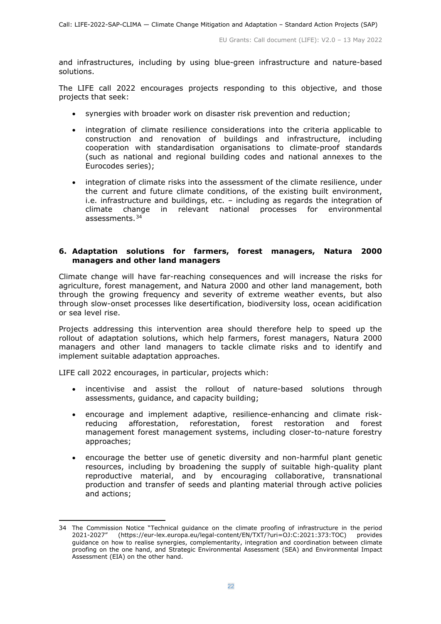and infrastructures, including by using blue-green infrastructure and nature-based solutions.

The LIFE call 2022 encourages projects responding to this objective, and those projects that seek:

- synergies with broader work on disaster risk prevention and reduction;
- integration of climate resilience considerations into the criteria applicable to construction and renovation of buildings and infrastructure, including cooperation with standardisation organisations to climate-proof standards (such as national and regional building codes and national annexes to the Eurocodes series);
- integration of climate risks into the assessment of the climate resilience, under the current and future climate conditions, of the existing built environment, i.e. infrastructure and buildings, etc. – including as regards the integration of climate change in relevant national processes for environmental assessments.[34](#page-21-0)

#### **6. Adaptation solutions for farmers, forest managers, Natura 2000 managers and other land managers**

Climate change will have far-reaching consequences and will increase the risks for agriculture, forest management, and Natura 2000 and other land management, both through the growing frequency and severity of extreme weather events, but also through slow-onset processes like desertification, biodiversity loss, ocean acidification or sea level rise.

Projects addressing this intervention area should therefore help to speed up the rollout of adaptation solutions, which help farmers, forest managers, Natura 2000 managers and other land managers to tackle climate risks and to identify and implement suitable adaptation approaches.

LIFE call 2022 encourages, in particular, projects which:

- incentivise and assist the rollout of nature-based solutions through assessments, guidance, and capacity building;
- encourage and implement adaptive, resilience-enhancing and climate riskreducing afforestation, reforestation, forest restoration and forest management forest management systems, including closer-to-nature forestry approaches;
- encourage the better use of genetic diversity and non-harmful plant genetic resources, including by broadening the supply of suitable high-quality plant reproductive material, and by encouraging collaborative, transnational production and transfer of seeds and planting material through active policies and actions;

<span id="page-21-0"></span><sup>34</sup> The Commission Notice "Technical guidance on the climate proofing of infrastructure in the period 2021-2027" [\(https://eur-lex.europa.eu/legal-content/EN/TXT/?uri=OJ:C:2021:373:TOC\)](https://eur-lex.europa.eu/legal-content/EN/TXT/?uri=OJ:C:2021:373:TOC) provides guidance on how to realise synergies, complementarity, integration and coordination between climate proofing on the one hand, and Strategic Environmental Assessment (SEA) and Environmental Impact Assessment (EIA) on the other hand.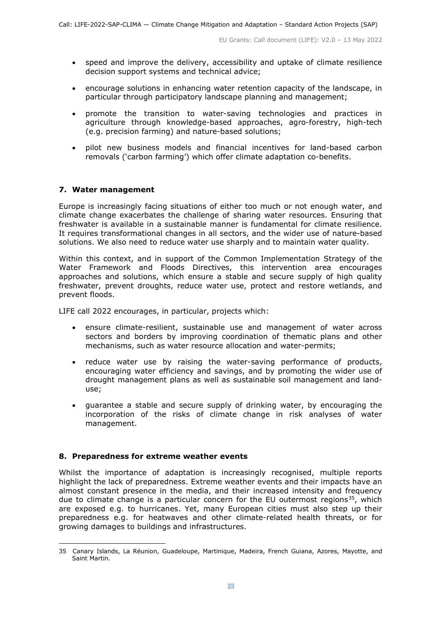- speed and improve the delivery, accessibility and uptake of climate resilience decision support systems and technical advice;
- encourage solutions in enhancing water retention capacity of the landscape, in particular through participatory landscape planning and management;
- promote the transition to water-saving technologies and practices in agriculture through knowledge-based approaches, agro-forestry, high-tech (e.g. precision farming) and nature-based solutions;
- pilot new business models and financial incentives for land-based carbon removals ('carbon farming') which offer climate adaptation co-benefits.

## **7. Water management**

Europe is increasingly facing situations of either too much or not enough water, and climate change exacerbates the challenge of sharing water resources. Ensuring that freshwater is available in a sustainable manner is fundamental for climate resilience. It requires transformational changes in all sectors, and the wider use of nature-based solutions. We also need to reduce water use sharply and to maintain water quality.

Within this context, and in support of the Common Implementation Strategy of the Water Framework and Floods Directives, this intervention area encourages approaches and solutions, which ensure a stable and secure supply of high quality freshwater, prevent droughts, reduce water use, protect and restore wetlands, and prevent floods.

LIFE call 2022 encourages, in particular, projects which:

- ensure climate-resilient, sustainable use and management of water across sectors and borders by improving coordination of thematic plans and other mechanisms, such as water resource allocation and water-permits;
- reduce water use by raising the water-saving performance of products, encouraging water efficiency and savings, and by promoting the wider use of drought management plans as well as sustainable soil management and landuse;
- guarantee a stable and secure supply of drinking water, by encouraging the incorporation of the risks of climate change in risk analyses of water management.

#### **8. Preparedness for extreme weather events**

Whilst the importance of adaptation is increasingly recognised, multiple reports highlight the lack of preparedness. Extreme weather events and their impacts have an almost constant presence in the media, and their increased intensity and frequency due to climate change is a particular concern for the EU outermost regions<sup>35</sup>, which are exposed e.g. to hurricanes. Yet, many European cities must also step up their preparedness e.g. for heatwaves and other climate-related health threats, or for growing damages to buildings and infrastructures.

<span id="page-22-0"></span><sup>35</sup> Canary Islands, La Réunion, Guadeloupe, Martinique, Madeira, French Guiana, Azores, Mayotte, and Saint Martin.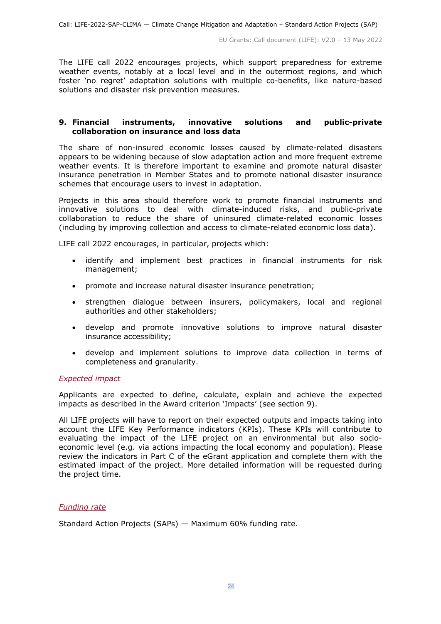The LIFE call 2022 encourages projects, which support preparedness for extreme weather events, notably at a local level and in the outermost regions, and which foster 'no regret' adaptation solutions with multiple co-benefits, like nature-based solutions and disaster risk prevention measures.

## **9. Financial instruments, innovative solutions and public-private collaboration on insurance and loss data**

The share of non-insured economic losses caused by climate-related disasters appears to be widening because of slow adaptation action and more frequent extreme weather events. It is therefore important to examine and promote natural disaster insurance penetration in Member States and to promote national disaster insurance schemes that encourage users to invest in adaptation.

Projects in this area should therefore work to promote financial instruments and innovative solutions to deal with climate-induced risks, and public-private collaboration to reduce the share of uninsured climate-related economic losses (including by improving collection and access to climate-related economic loss data).

LIFE call 2022 encourages, in particular, projects which:

- identify and implement best practices in financial instruments for risk management;
- promote and increase natural disaster insurance penetration;
- strengthen dialogue between insurers, policymakers, local and regional authorities and other stakeholders;
- develop and promote innovative solutions to improve natural disaster insurance accessibility;
- develop and implement solutions to improve data collection in terms of completeness and granularity.

#### <span id="page-23-0"></span>*Expected impact*

Applicants are expected to define, calculate, explain and achieve the expected impacts as described in the Award criterion 'Impacts' (see section 9).

All LIFE projects will have to report on their expected outputs and impacts taking into account the LIFE Key Performance indicators (KPIs). These KPIs will contribute to evaluating the impact of the LIFE project on an environmental but also socioeconomic level (e.g. via actions impacting the local economy and population). Please review the indicators in Part C of the eGrant application and complete them with the estimated impact of the project. More detailed information will be requested during the project time.

#### <span id="page-23-1"></span>*Funding rate*

Standard Action Projects (SAPs) — Maximum 60% funding rate.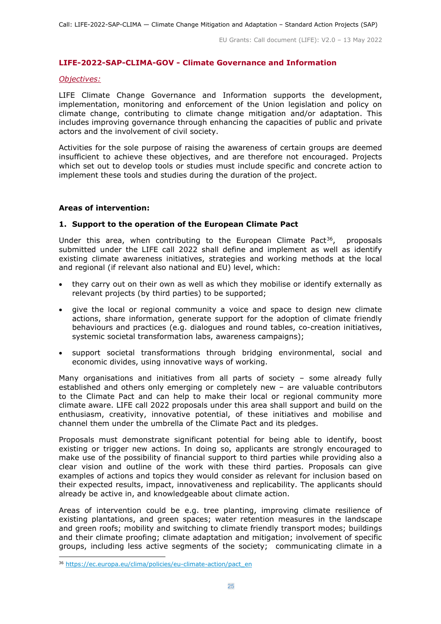#### <span id="page-24-0"></span>**LIFE-2022-SAP-CLIMA-GOV - Climate Governance and Information**

#### <span id="page-24-1"></span>*Objectives:*

LIFE Climate Change Governance and Information supports the development, implementation, monitoring and enforcement of the Union legislation and policy on climate change, contributing to climate change mitigation and/or adaptation. This includes improving governance through enhancing the capacities of public and private actors and the involvement of civil society.

Activities for the sole purpose of raising the awareness of certain groups are deemed insufficient to achieve these objectives, and are therefore not encouraged. Projects which set out to develop tools or studies must include specific and concrete action to implement these tools and studies during the duration of the project.

#### **Areas of intervention:**

#### **1. Support to the operation of the European Climate Pact**

Under this area, when contributing to the European Climate Pact<sup>[36](#page-24-2)</sup>, proposals submitted under the LIFE call 2022 shall define and implement as well as identify existing climate awareness initiatives, strategies and working methods at the local and regional (if relevant also national and EU) level, which:

- they carry out on their own as well as which they mobilise or identify externally as relevant projects (by third parties) to be supported;
- give the local or regional community a voice and space to design new climate actions, share information, generate support for the adoption of climate friendly behaviours and practices (e.g. dialogues and round tables, co-creation initiatives, systemic societal transformation labs, awareness campaigns);
- support societal transformations through bridging environmental, social and economic divides, using innovative ways of working.

Many organisations and initiatives from all parts of society – some already fully established and others only emerging or completely new – are valuable contributors to the Climate Pact and can help to make their local or regional community more climate aware. LIFE call 2022 proposals under this area shall support and build on the enthusiasm, creativity, innovative potential, of these initiatives and mobilise and channel them under the umbrella of the Climate Pact and its pledges.

Proposals must demonstrate significant potential for being able to identify, boost existing or trigger new actions. In doing so, applicants are strongly encouraged to make use of the possibility of financial support to third parties while providing also a clear vision and outline of the work with these third parties. Proposals can give examples of actions and topics they would consider as relevant for inclusion based on their expected results, impact, innovativeness and replicability. The applicants should already be active in, and knowledgeable about climate action.

Areas of intervention could be e.g. tree planting, improving climate resilience of existing plantations, and green spaces; water retention measures in the landscape and green roofs; mobility and switching to climate friendly transport modes; buildings and their climate proofing; climate adaptation and mitigation; involvement of specific groups, including less active segments of the society; communicating climate in a

<span id="page-24-2"></span><sup>36</sup> [https://ec.europa.eu/clima/policies/eu-climate-action/pact\\_en](https://ec.europa.eu/clima/policies/eu-climate-action/pact_en)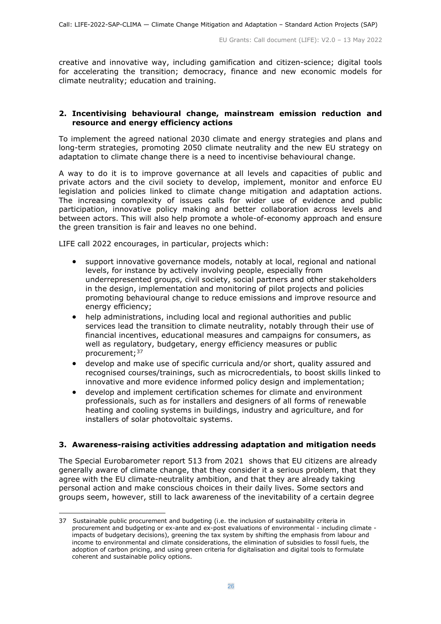creative and innovative way, including gamification and citizen-science; digital tools for accelerating the transition; democracy, finance and new economic models for climate neutrality; education and training.

#### **2. Incentivising behavioural change, mainstream emission reduction and resource and energy efficiency actions**

To implement the agreed national 2030 climate and energy strategies and plans and long-term strategies, promoting 2050 climate neutrality and the new EU strategy on adaptation to climate change there is a need to incentivise behavioural change.

A way to do it is to improve governance at all levels and capacities of public and private actors and the civil society to develop, implement, monitor and enforce EU legislation and policies linked to climate change mitigation and adaptation actions. The increasing complexity of issues calls for wider use of evidence and public participation, innovative policy making and better collaboration across levels and between actors. This will also help promote a whole-of-economy approach and ensure the green transition is fair and leaves no one behind.

LIFE call 2022 encourages, in particular, projects which:

- support innovative governance models, notably at local, regional and national levels, for instance by actively involving people, especially from underrepresented groups, civil society, social partners and other stakeholders in the design, implementation and monitoring of pilot projects and policies promoting behavioural change to reduce emissions and improve resource and energy efficiency;
- help administrations, including local and regional authorities and public services lead the transition to climate neutrality, notably through their use of financial incentives, educational measures and campaigns for consumers, as well as regulatory, budgetary, energy efficiency measures or public procurement;[37](#page-25-0)
- develop and make use of specific curricula and/or short, quality assured and recognised courses/trainings, such as microcredentials, to boost skills linked to innovative and more evidence informed policy design and implementation;
- develop and implement certification schemes for climate and environment professionals, such as for installers and designers of all forms of renewable heating and cooling systems in buildings, industry and agriculture, and for installers of solar photovoltaic systems.

## **3. Awareness-raising activities addressing adaptation and mitigation needs**

The Special Eurobarometer report 513 from 2021 shows that EU citizens are already generally aware of climate change, that they consider it a serious problem, that they agree with the EU climate-neutrality ambition, and that they are already taking personal action and make conscious choices in their daily lives. Some sectors and groups seem, however, still to lack awareness of the inevitability of a certain degree

<span id="page-25-0"></span><sup>37</sup> Sustainable public procurement and budgeting (i.e. the inclusion of sustainability criteria in procurement and budgeting or ex-ante and ex-post evaluations of environmental - including climate impacts of budgetary decisions), greening the tax system by shifting the emphasis from labour and income to environmental and climate considerations, the elimination of subsidies to fossil fuels, the adoption of carbon pricing, and using green criteria for digitalisation and digital tools to formulate coherent and sustainable policy options.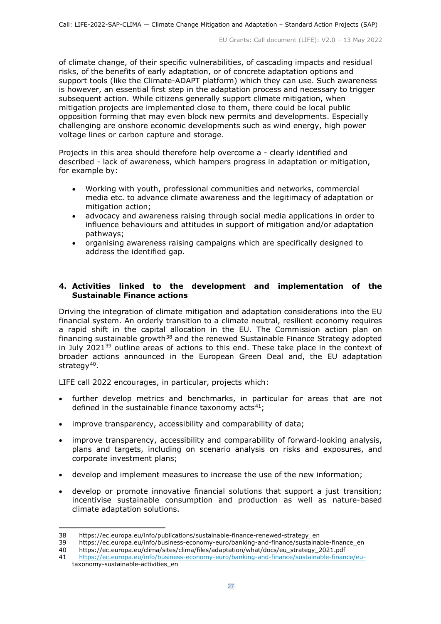of climate change, of their specific vulnerabilities, of cascading impacts and residual risks, of the benefits of early adaptation, or of concrete adaptation options and support tools (like the Climate-ADAPT platform) which they can use. Such awareness is however, an essential first step in the adaptation process and necessary to trigger subsequent action. While citizens generally support climate mitigation, when mitigation projects are implemented close to them, there could be local public opposition forming that may even block new permits and developments. Especially challenging are onshore economic developments such as wind energy, high power voltage lines or carbon capture and storage.

Projects in this area should therefore help overcome a - clearly identified and described - lack of awareness, which hampers progress in adaptation or mitigation, for example by:

- Working with youth, professional communities and networks, commercial media etc. to advance climate awareness and the legitimacy of adaptation or mitigation action;
- advocacy and awareness raising through social media applications in order to influence behaviours and attitudes in support of mitigation and/or adaptation pathways;
- organising awareness raising campaigns which are specifically designed to address the identified gap.

#### **4. Activities linked to the development and implementation of the Sustainable Finance actions**

Driving the integration of climate mitigation and adaptation considerations into the EU financial system. An orderly transition to a climate neutral, resilient economy requires a rapid shift in the capital allocation in the EU. The Commission action plan on financing sustainable growth<sup>[38](#page-26-0)</sup> and the renewed Sustainable Finance Strategy adopted in July 2021<sup>[39](#page-26-1)</sup> outline areas of actions to this end. These take place in the context of broader actions announced in the European Green Deal and, the EU adaptation strategy<sup>40</sup>.

LIFE call 2022 encourages, in particular, projects which:

- further develop metrics and benchmarks, in particular for areas that are not defined in the sustainable finance taxonomy  $acts^{41}$ ;
- improve transparency, accessibility and comparability of data;
- improve transparency, accessibility and comparability of forward-looking analysis, plans and targets, including on scenario analysis on risks and exposures, and corporate investment plans;
- develop and implement measures to increase the use of the new information;
- develop or promote innovative financial solutions that support a just transition; incentivise sustainable consumption and production as well as nature-based climate adaptation solutions.

<sup>38</sup> [https://ec.europa.eu/info/publications/sustainable-finance-renewed-strategy\\_en](https://ec.europa.eu/info/publications/sustainable-finance-renewed-strategy_en)

<span id="page-26-2"></span><span id="page-26-1"></span><span id="page-26-0"></span><sup>39</sup> [https://ec.europa.eu/info/business-economy-euro/banking-and-finance/sustainable-finance\\_en](https://ec.europa.eu/info/business-economy-euro/banking-and-finance/sustainable-finance_en)

<sup>40</sup> [https://ec.europa.eu/clima/sites/clima/files/adaptation/what/docs/eu\\_strategy\\_2021.pdf](https://ec.europa.eu/clima/sites/clima/files/adaptation/what/docs/eu_strategy_2021.pdf)

<span id="page-26-3"></span><sup>41</sup> [https://ec.europa.eu/info/business-economy-euro/banking-and-finance/sustainable-finance/eu](https://ec.europa.eu/info/business-economy-euro/banking-and-finance/sustainable-finance/eu-)taxonomy-sustainable-activities\_en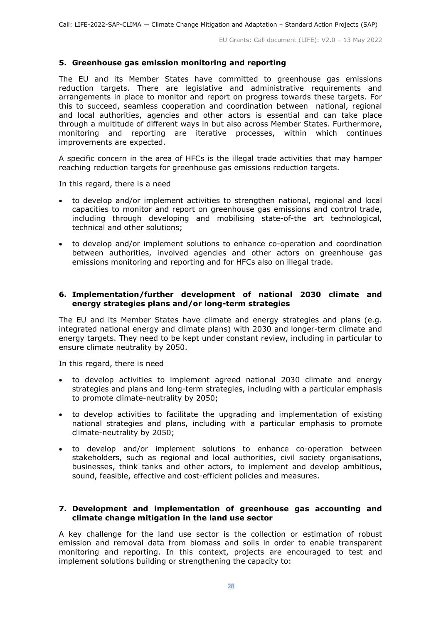## **5. Greenhouse gas emission monitoring and reporting**

The EU and its Member States have committed to greenhouse gas emissions reduction targets. There are legislative and administrative requirements and arrangements in place to monitor and report on progress towards these targets. For this to succeed, seamless cooperation and coordination between national, regional and local authorities, agencies and other actors is essential and can take place through a multitude of different ways in but also across Member States. Furthermore, monitoring and reporting are iterative processes, within which continues improvements are expected.

A specific concern in the area of HFCs is the illegal trade activities that may hamper reaching reduction targets for greenhouse gas emissions reduction targets.

In this regard, there is a need

- to develop and/or implement activities to strengthen national, regional and local capacities to monitor and report on greenhouse gas emissions and control trade, including through developing and mobilising state-of-the art technological, technical and other solutions;
- to develop and/or implement solutions to enhance co-operation and coordination between authorities, involved agencies and other actors on greenhouse gas emissions monitoring and reporting and for HFCs also on illegal trade.

## **6. Implementation/further development of national 2030 climate and energy strategies plans and/or long-term strategies**

The EU and its Member States have climate and energy strategies and plans (e.g. integrated national energy and climate plans) with 2030 and longer-term climate and energy targets. They need to be kept under constant review, including in particular to ensure climate neutrality by 2050.

In this regard, there is need

- to develop activities to implement agreed national 2030 climate and energy strategies and plans and long-term strategies, including with a particular emphasis to promote climate-neutrality by 2050;
- to develop activities to facilitate the upgrading and implementation of existing national strategies and plans, including with a particular emphasis to promote climate-neutrality by 2050;
- to develop and/or implement solutions to enhance co-operation between stakeholders, such as regional and local authorities, civil society organisations, businesses, think tanks and other actors, to implement and develop ambitious, sound, feasible, effective and cost-efficient policies and measures.

#### **7. Development and implementation of greenhouse gas accounting and climate change mitigation in the land use sector**

A key challenge for the land use sector is the collection or estimation of robust emission and removal data from biomass and soils in order to enable transparent monitoring and reporting. In this context, projects are encouraged to test and implement solutions building or strengthening the capacity to: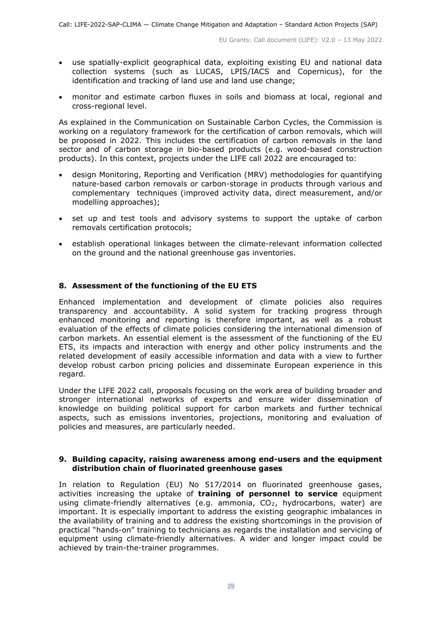- use spatially-explicit geographical data, exploiting existing EU and national data collection systems (such as LUCAS, LPIS/IACS and Copernicus), for the identification and tracking of land use and land use change;
- monitor and estimate carbon fluxes in soils and biomass at local, regional and cross-regional level.

As explained in the Communication on Sustainable Carbon Cycles, the Commission is working on a regulatory framework for the certification of carbon removals, which will be proposed in 2022. This includes the certification of carbon removals in the land sector and of carbon storage in bio-based products (e.g. wood-based construction products). In this context, projects under the LIFE call 2022 are encouraged to:

- design Monitoring, Reporting and Verification (MRV) methodologies for quantifying nature-based carbon removals or carbon-storage in products through various and complementary techniques (improved activity data, direct measurement, and/or modelling approaches);
- set up and test tools and advisory systems to support the uptake of carbon removals certification protocols;
- establish operational linkages between the climate-relevant information collected on the ground and the national greenhouse gas inventories.

#### **8. Assessment of the functioning of the EU ETS**

Enhanced implementation and development of climate policies also requires transparency and accountability. A solid system for tracking progress through enhanced monitoring and reporting is therefore important, as well as a robust evaluation of the effects of climate policies considering the international dimension of carbon markets. An essential element is the assessment of the functioning of the EU ETS, its impacts and interaction with energy and other policy instruments and the related development of easily accessible information and data with a view to further develop robust carbon pricing policies and disseminate European experience in this regard.

Under the LIFE 2022 call, proposals focusing on the work area of building broader and stronger international networks of experts and ensure wider dissemination of knowledge on building political support for carbon markets and further technical aspects, such as emissions inventories, projections, monitoring and evaluation of policies and measures, are particularly needed.

#### **9. Building capacity, raising awareness among end-users and the equipment distribution chain of fluorinated greenhouse gases**

In relation to Regulation (EU) No 517/2014 on fluorinated greenhouse gases, activities increasing the uptake of **training of personnel to service** equipment using climate-friendly alternatives (e.g. ammonia, CO<sub>2</sub>, hydrocarbons, water) are important. It is especially important to address the existing geographic imbalances in the availability of training and to address the existing shortcomings in the provision of practical "hands-on" training to technicians as regards the installation and servicing of equipment using climate-friendly alternatives. A wider and longer impact could be achieved by train-the-trainer programmes.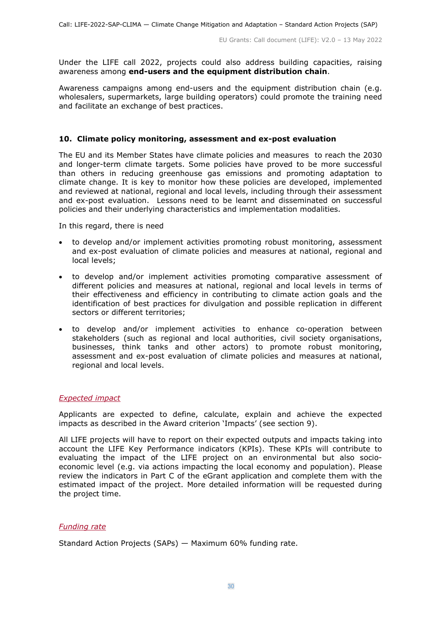Under the LIFE call 2022, projects could also address building capacities, raising awareness among **end-users and the equipment distribution chain**.

Awareness campaigns among end-users and the equipment distribution chain (e.g. wholesalers, supermarkets, large building operators) could promote the training need and facilitate an exchange of best practices.

#### **10. Climate policy monitoring, assessment and ex-post evaluation**

The EU and its Member States have climate policies and measures to reach the 2030 and longer-term climate targets. Some policies have proved to be more successful than others in reducing greenhouse gas emissions and promoting adaptation to climate change. It is key to monitor how these policies are developed, implemented and reviewed at national, regional and local levels, including through their assessment and ex-post evaluation. Lessons need to be learnt and disseminated on successful policies and their underlying characteristics and implementation modalities.

In this regard, there is need

- to develop and/or implement activities promoting robust monitoring, assessment and ex-post evaluation of climate policies and measures at national, regional and local levels;
- to develop and/or implement activities promoting comparative assessment of different policies and measures at national, regional and local levels in terms of their effectiveness and efficiency in contributing to climate action goals and the identification of best practices for divulgation and possible replication in different sectors or different territories;
- to develop and/or implement activities to enhance co-operation between stakeholders (such as regional and local authorities, civil society organisations, businesses, think tanks and other actors) to promote robust monitoring, assessment and ex-post evaluation of climate policies and measures at national, regional and local levels.

#### <span id="page-29-0"></span>*Expected impact*

Applicants are expected to define, calculate, explain and achieve the expected impacts as described in the Award criterion 'Impacts' (see section 9).

All LIFE projects will have to report on their expected outputs and impacts taking into account the LIFE Key Performance indicators (KPIs). These KPIs will contribute to evaluating the impact of the LIFE project on an environmental but also socioeconomic level (e.g. via actions impacting the local economy and population). Please review the indicators in Part C of the eGrant application and complete them with the estimated impact of the project. More detailed information will be requested during the project time.

#### <span id="page-29-1"></span>*Funding rate*

Standard Action Projects (SAPs) — Maximum 60% funding rate.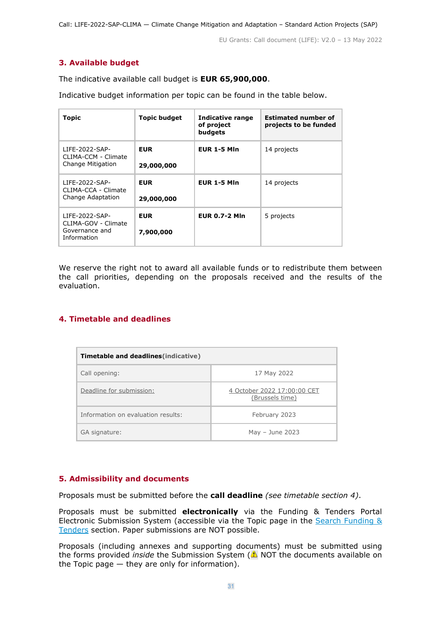## <span id="page-30-0"></span>**3. Available budget**

The indicative available call budget is **EUR 65,900,000**.

Indicative budget information per topic can be found in the table below.

| <b>Topic</b>                                                           | <b>Topic budget</b>      | <b>Indicative range</b><br>of project<br>budgets | <b>Estimated number of</b><br>projects to be funded |
|------------------------------------------------------------------------|--------------------------|--------------------------------------------------|-----------------------------------------------------|
| LIFE-2022-SAP-<br>CLIMA-CCM - Climate<br>Change Mitigation             | <b>EUR</b><br>29,000,000 | <b>EUR 1-5 MIn</b>                               | 14 projects                                         |
| LIFE-2022-SAP-<br>CLIMA-CCA - Climate<br>Change Adaptation             | <b>EUR</b><br>29,000,000 | <b>EUR 1-5 MIn</b>                               | 14 projects                                         |
| LIFE-2022-SAP-<br>CLIMA-GOV - Climate<br>Governance and<br>Information | <b>EUR</b><br>7,900,000  | <b>EUR 0.7-2 Mln</b>                             | 5 projects                                          |

We reserve the right not to award all available funds or to redistribute them between the call priorities, depending on the proposals received and the results of the evaluation.

#### <span id="page-30-1"></span>**4. Timetable and deadlines**

| <b>Timetable and deadlines (indicative)</b> |                                                |  |  |  |
|---------------------------------------------|------------------------------------------------|--|--|--|
| Call opening:                               | 17 May 2022                                    |  |  |  |
| Deadline for submission:                    | 4 October 2022 17:00:00 CET<br>(Brussels time) |  |  |  |
| Information on evaluation results:          | February 2023                                  |  |  |  |
| GA signature:                               | May $-$ June 2023                              |  |  |  |

## <span id="page-30-2"></span>**5. Admissibility and documents**

Proposals must be submitted before the **call deadline** *(see timetable section 4)*.

Proposals must be submitted **electronically** via the Funding & Tenders Portal Electronic Submission System (accessible via the Topic page in the Search Funding & [Tenders](https://ec.europa.eu/info/funding-tenders/opportunities/portal/screen/opportunities/topic-search;freeTextSearchKeyword=;typeCodes=0,1;statusCodes=31094501,31094502,31094503;programCode=null;programDivisionCode=null;focusAreaCode=null;crossCuttingPriorityCode=null;callCode=Default;sortQuery=openingDate;orderBy=asc;onlyTenders=false;topicListKey=topicSearchTablePageState) section. Paper submissions are NOT possible.

Proposals (including annexes and supporting documents) must be submitted using the forms provided *inside* the Submission System (**A** NOT the documents available on the Topic page  $-$  they are only for information).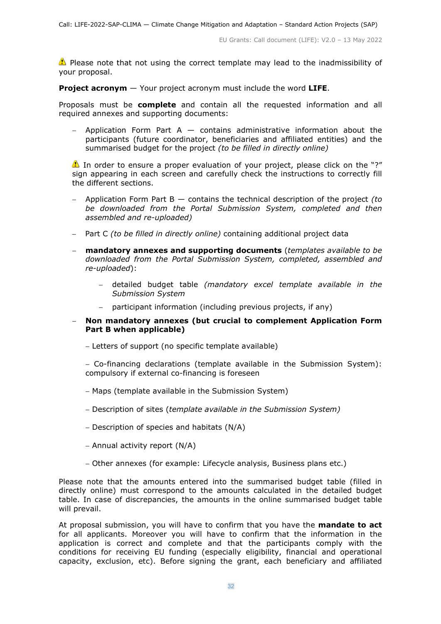**Please note that not using the correct template may lead to the inadmissibility of** your proposal.

**Project acronym** — Your project acronym must include the word **LIFE**.

Proposals must be **complete** and contain all the requested information and all required annexes and supporting documents:

Application Form Part A  $-$  contains administrative information about the participants (future coordinator, beneficiaries and affiliated entities) and the summarised budget for the project *(to be filled in directly online)*

In order to ensure a proper evaluation of your project, please click on the "?" sign appearing in each screen and carefully check the instructions to correctly fill the different sections.

- − Application Form Part B contains the technical description of the project *(to be downloaded from the Portal Submission System, completed and then assembled and re-uploaded)*
- − Part C *(to be filled in directly online)* containing additional project data
- − **mandatory annexes and supporting documents** (*templates available to be downloaded from the Portal Submission System, completed, assembled and re-uploaded*):
	- − detailed budget table *(mandatory excel template available in the Submission System*
	- participant information (including previous projects, if any)
- − **Non mandatory annexes (but crucial to complement Application Form Part B when applicable)**
	- − Letters of support (no specific template available)
	- − Co-financing declarations (template available in the Submission System): compulsory if external co-financing is foreseen
	- − Maps (template available in the Submission System)
	- − Description of sites (*template available in the Submission System)*
	- − Description of species and habitats (N/A)
	- − Annual activity report (N/A)
	- − Other annexes (for example: Lifecycle analysis, Business plans etc.)

Please note that the amounts entered into the summarised budget table (filled in directly online) must correspond to the amounts calculated in the detailed budget table. In case of discrepancies, the amounts in the online summarised budget table will prevail.

At proposal submission, you will have to confirm that you have the **mandate to act** for all applicants. Moreover you will have to confirm that the information in the application is correct and complete and that the participants comply with the conditions for receiving EU funding (especially eligibility, financial and operational capacity, exclusion, etc). Before signing the grant, each beneficiary and affiliated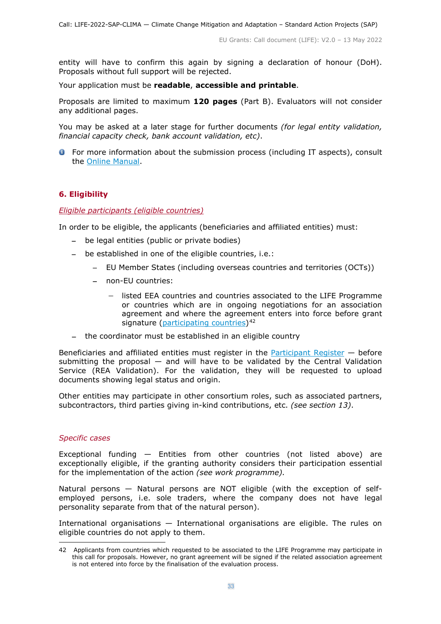entity will have to confirm this again by signing a declaration of honour (DoH). Proposals without full support will be rejected.

Your application must be **readable**, **accessible and printable**.

Proposals are limited to maximum **120 pages** (Part B). Evaluators will not consider any additional pages.

You may be asked at a later stage for further documents *(for legal entity validation, financial capacity check, bank account validation, etc)*.

**O** For more information about the submission process (including IT aspects), consult the [Online Manual.](https://ec.europa.eu/info/funding-tenders/opportunities/docs/2021-2027/common/guidance/om_en.pdf)

#### <span id="page-32-0"></span>**6. Eligibility**

#### <span id="page-32-1"></span>*Eligible participants (eligible countries)*

In order to be eligible, the applicants (beneficiaries and affiliated entities) must:

- − be legal entities (public or private bodies)
- − be established in one of the eligible countries, i.e.:
	- − EU Member States (including overseas countries and territories (OCTs))
	- − non-EU countries:
		- − listed EEA countries and countries associated to the LIFE Programme or countries which are in ongoing negotiations for an association agreement and where the agreement enters into force before grant signature [\(participating countries\)](https://ec.europa.eu/info/funding-tenders/opportunities/docs/2021-2027/life/guidance/list-3rd-country-participation_life_en.pdf)<sup>[42](#page-32-2)</sup>
- − the coordinator must be established in an eligible country

Beneficiaries and affiliated entities must register in the [Participant Register](https://ec.europa.eu/info/funding-tenders/opportunities/portal/screen/how-to-participate/participant-register)  $-$  before submitting the proposal  $-$  and will have to be validated by the Central Validation Service (REA Validation). For the validation, they will be requested to upload documents showing legal status and origin.

Other entities may participate in other consortium roles, such as associated partners, subcontractors, third parties giving in-kind contributions, etc. *(see section 13)*.

#### *Specific cases*

Exceptional funding — Entities from other countries (not listed above) are exceptionally eligible, if the granting authority considers their participation essential for the implementation of the action *(see work programme).*

Natural persons — Natural persons are NOT eligible (with the exception of selfemployed persons, i.e. sole traders, where the company does not have legal personality separate from that of the natural person).

International organisations — International organisations are eligible. The rules on eligible countries do not apply to them.

<span id="page-32-2"></span><sup>42</sup> Applicants from countries which requested to be associated to the LIFE Programme may participate in this call for proposals. However, no grant agreement will be signed if the related association agreement is not entered into force by the finalisation of the evaluation process.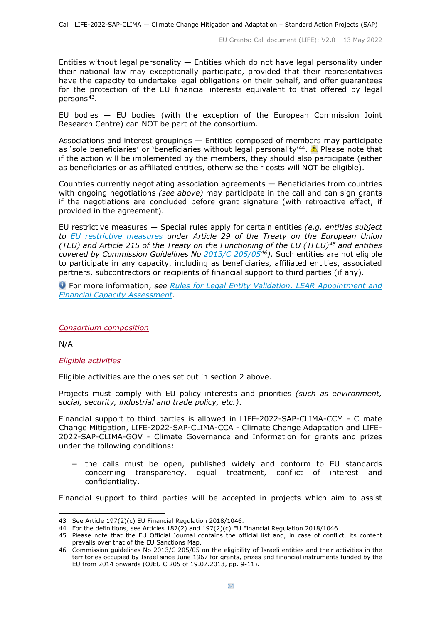Entities without legal personality  $-$  Entities which do not have legal personality under their national law may exceptionally participate, provided that their representatives have the capacity to undertake legal obligations on their behalf, and offer guarantees for the protection of the EU financial interests equivalent to that offered by legal persons[43](#page-33-2).

EU bodies — EU bodies (with the exception of the European Commission Joint Research Centre) can NOT be part of the consortium.

Associations and interest groupings — Entities composed of members may participate as 'sole beneficiaries' or 'beneficiaries without legal personality'<sup>44</sup>.  $\triangle$  Please note that if the action will be implemented by the members, they should also participate (either as beneficiaries or as affiliated entities, otherwise their costs will NOT be eligible).

Countries currently negotiating association agreements — Beneficiaries from countries with ongoing negotiations *(see above)* may participate in the call and can sign grants if the negotiations are concluded before grant signature (with retroactive effect, if provided in the agreement).

EU restrictive measures — Special rules apply for certain entities *(e.g. entities subject to [EU restrictive measures](http://www.sanctionsmap.eu/) under Article 29 of the Treaty on the European Union (TEU) and Article 215 of the Treaty on the Functioning of the EU (TFEU)[45](#page-33-4) and entities covered by Commission Guidelines No [2013/C 205/05](http://eur-lex.europa.eu/LexUriServ/LexUriServ.do?uri=OJ:C:2013:205:FULL:EN:PDF)[46\)](#page-33-5)*. Such entities are not eligible to participate in any capacity, including as beneficiaries, affiliated entities, associated partners, subcontractors or recipients of financial support to third parties (if any).

For more information, *see [Rules for Legal Entity Validation, LEAR Appointment and](https://ec.europa.eu/info/funding-tenders/opportunities/docs/2021-2027/common/guidance/rules-lev-lear-fca_en.pdf)  [Financial Capacity Assessment](https://ec.europa.eu/info/funding-tenders/opportunities/docs/2021-2027/common/guidance/rules-lev-lear-fca_en.pdf)*.

#### <span id="page-33-0"></span>*Consortium composition*

N/A

#### <span id="page-33-1"></span>*Eligible activities*

Eligible activities are the ones set out in section 2 above.

Projects must comply with EU policy interests and priorities *(such as environment, social, security, industrial and trade policy, etc.)*.

Financial support to third parties is allowed in LIFE-2022-SAP-CLIMA-CCM - Climate Change Mitigation, LIFE-2022-SAP-CLIMA-CCA - Climate Change Adaptation and LIFE-2022-SAP-CLIMA-GOV - Climate Governance and Information for grants and prizes under the following conditions:

− the calls must be open, published widely and conform to EU standards concerning transparency, equal treatment, conflict of interest and confidentiality.

Financial support to third parties will be accepted in projects which aim to assist

<span id="page-33-2"></span><sup>43</sup> See Article 197(2)(c) EU Financial Regulation [2018/1046.](https://eur-lex.europa.eu/legal-content/EN/ALL/?uri=CELEX:32018R1046&qid=1535046024012)

<sup>44</sup> For the definitions, see Articles  $187(2)$  and  $197(2)(c)$  EU Financial Regulation [2018/1046.](https://eur-lex.europa.eu/legal-content/EN/ALL/?uri=CELEX:32018R1046&qid=1535046024012)

<span id="page-33-4"></span><span id="page-33-3"></span><sup>45</sup> Please note that the EU Official Journal contains the official list and, in case of conflict, its content prevails over that of the [EU Sanctions Map.](http://www.sanctionsmap.eu/)

<span id="page-33-5"></span><sup>46</sup> Commission guidelines No [2013/C 205/05](http://eur-lex.europa.eu/LexUriServ/LexUriServ.do?uri=OJ:C:2013:205:FULL:EN:PDF) on the eligibility of Israeli entities and their activities in the territories occupied by Israel since June 1967 for grants, prizes and financial instruments funded by the EU from 2014 onwards (OJEU C 205 of 19.07.2013, pp. 9-11).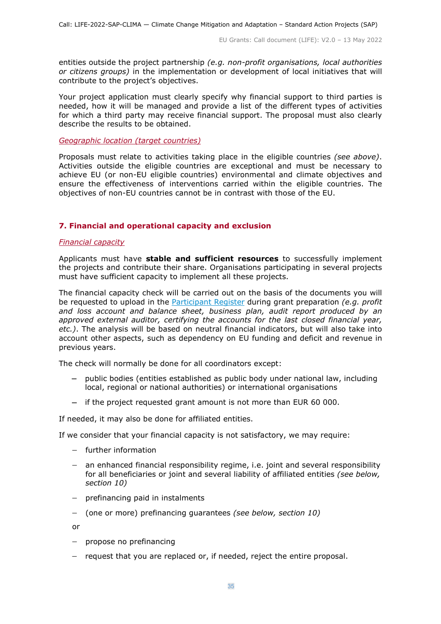entities outside the project partnership *(e.g. non-profit organisations, local authorities or citizens groups)* in the implementation or development of local initiatives that will contribute to the project's objectives.

Your project application must clearly specify why financial support to third parties is needed, how it will be managed and provide a list of the different types of activities for which a third party may receive financial support. The proposal must also clearly describe the results to be obtained.

#### <span id="page-34-0"></span>*Geographic location (target countries)*

Proposals must relate to activities taking place in the eligible countries *(see above)*. Activities outside the eligible countries are exceptional and must be necessary to achieve EU (or non-EU eligible countries) environmental and climate objectives and ensure the effectiveness of interventions carried within the eligible countries. The objectives of non-EU countries cannot be in contrast with those of the EU.

## <span id="page-34-1"></span>**7. Financial and operational capacity and exclusion**

#### <span id="page-34-2"></span>*Financial capacity*

Applicants must have **stable and sufficient resources** to successfully implement the projects and contribute their share. Organisations participating in several projects must have sufficient capacity to implement all these projects.

The financial capacity check will be carried out on the basis of the documents you will be requested to upload in the [Participant Register](https://ec.europa.eu/info/funding-tenders/opportunities/portal/screen/how-to-participate/participant-register) during grant preparation *(e.g. profit and loss account and balance sheet, business plan, audit report produced by an approved external auditor, certifying the accounts for the last closed financial year, etc.)*. The analysis will be based on neutral financial indicators, but will also take into account other aspects, such as dependency on EU funding and deficit and revenue in previous years.

The check will normally be done for all coordinators except:

- − public bodies (entities established as public body under national law, including local, regional or national authorities) or international organisations
- − if the project requested grant amount is not more than EUR 60 000.

If needed, it may also be done for affiliated entities.

If we consider that your financial capacity is not satisfactory, we may require:

- − further information
- − an enhanced financial responsibility regime, i.e. joint and several responsibility for all beneficiaries or joint and several liability of affiliated entities *(see below, section 10)*
- − prefinancing paid in instalments
- − (one or more) prefinancing guarantees *(see below, section 10)*

or

- − propose no prefinancing
- − request that you are replaced or, if needed, reject the entire proposal.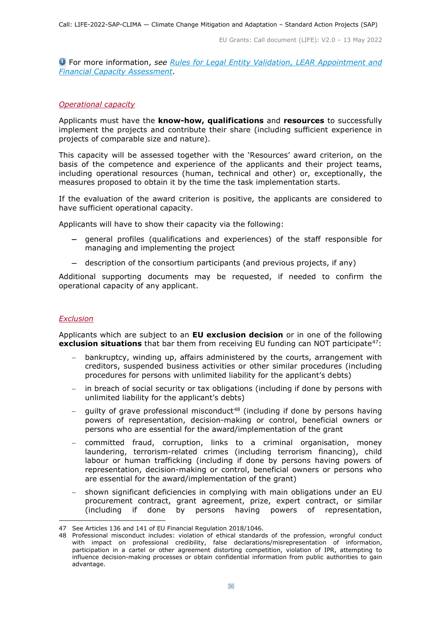For more information, *see Rules for [Legal Entity Validation, LEAR Appointment and](https://ec.europa.eu/info/funding-tenders/opportunities/docs/2021-2027/common/guidance/rules-lev-lear-fca_en.pdf)  [Financial Capacity Assessment](https://ec.europa.eu/info/funding-tenders/opportunities/docs/2021-2027/common/guidance/rules-lev-lear-fca_en.pdf)*.

#### <span id="page-35-0"></span>*Operational capacity*

Applicants must have the **know-how, qualifications** and **resources** to successfully implement the projects and contribute their share (including sufficient experience in projects of comparable size and nature).

This capacity will be assessed together with the 'Resources' award criterion, on the basis of the competence and experience of the applicants and their project teams, including operational resources (human, technical and other) or, exceptionally, the measures proposed to obtain it by the time the task implementation starts.

If the evaluation of the award criterion is positive, the applicants are considered to have sufficient operational capacity.

Applicants will have to show their capacity via the following:

- − general profiles (qualifications and experiences) of the staff responsible for managing and implementing the project
- − description of the consortium participants (and previous projects, if any)

Additional supporting documents may be requested, if needed to confirm the operational capacity of any applicant.

#### <span id="page-35-1"></span>*Exclusion*

Applicants which are subject to an **EU exclusion decision** or in one of the following **exclusion situations** that bar them from receiving EU funding can NOT participate<sup>47</sup>:

- bankruptcy, winding up, affairs administered by the courts, arrangement with creditors, suspended business activities or other similar procedures (including procedures for persons with unlimited liability for the applicant's debts)
- in breach of social security or tax obligations (including if done by persons with unlimited liability for the applicant's debts)
- quilty of grave professional misconduct<sup>[48](#page-35-3)</sup> (including if done by persons having powers of representation, decision-making or control, beneficial owners or persons who are essential for the award/implementation of the grant
- − committed fraud, corruption, links to a criminal organisation, money laundering, terrorism-related crimes (including terrorism financing), child labour or human trafficking (including if done by persons having powers of representation, decision-making or control, beneficial owners or persons who are essential for the award/implementation of the grant)
- shown significant deficiencies in complying with main obligations under an EU procurement contract, grant agreement, prize, expert contract, or similar (including if done by persons having powers of representation,

<span id="page-35-2"></span><sup>47</sup> See Articles 136 and 141 of EU Financial Regulation [2018/1046.](https://eur-lex.europa.eu/legal-content/EN/ALL/?uri=CELEX:32018R1046&qid=1535046024012)

<span id="page-35-3"></span><sup>48</sup> Professional misconduct includes: violation of ethical standards of the profession, wrongful conduct with impact on professional credibility, false declarations/misrepresentation of information, participation in a cartel or other agreement distorting competition, violation of IPR, attempting to influence decision-making processes or obtain confidential information from public authorities to gain advantage.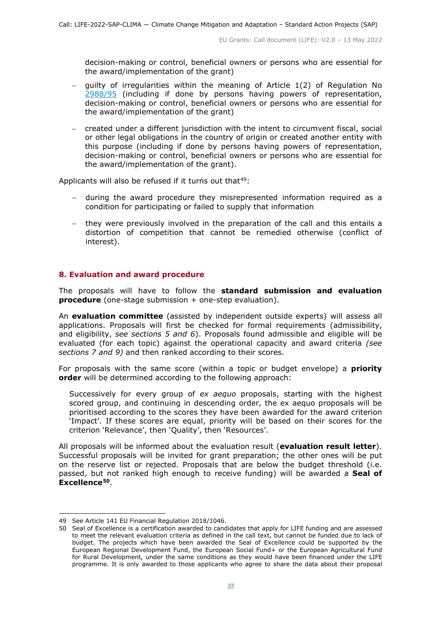decision-making or control, beneficial owners or persons who are essential for the award/implementation of the grant)

- − guilty of irregularities within the meaning of Article 1(2) of Regulation No [2988/95](http://eur-lex.europa.eu/legal-content/EN/ALL/?uri=CELEX:31995R2988&qid=1501598622514) (including if done by persons having powers of representation, decision-making or control, beneficial owners or persons who are essential for the award/implementation of the grant)
- − created under a different jurisdiction with the intent to circumvent fiscal, social or other legal obligations in the country of origin or created another entity with this purpose (including if done by persons having powers of representation, decision-making or control, beneficial owners or persons who are essential for the award/implementation of the grant).

Applicants will also be refused if it turns out that $49$ :

- − during the award procedure they misrepresented information required as a condition for participating or failed to supply that information
- − they were previously involved in the preparation of the call and this entails a distortion of competition that cannot be remedied otherwise (conflict of interest).

#### <span id="page-36-0"></span>**8. Evaluation and award procedure**

The proposals will have to follow the **standard submission and evaluation procedure** (one-stage submission + one-step evaluation).

An **evaluation committee** (assisted by independent outside experts) will assess all applications. Proposals will first be checked for formal requirements (admissibility, and eligibility, *see sections 5 and 6*). Proposals found admissible and eligible will be evaluated (for each topic) against the operational capacity and award criteria *(see sections 7 and 9)* and then ranked according to their scores.

For proposals with the same score (within a topic or budget envelope) a **priority order** will be determined according to the following approach:

Successively for every group of *ex aequo* proposals, starting with the highest scored group, and continuing in descending order, the ex aequo proposals will be prioritised according to the scores they have been awarded for the award criterion 'Impact'. If these scores are equal, priority will be based on their scores for the criterion 'Relevance', then 'Quality', then 'Resources'.

All proposals will be informed about the evaluation result (**evaluation result letter**). Successful proposals will be invited for grant preparation; the other ones will be put on the reserve list or rejected. Proposals that are below the budget threshold (i.e. passed, but not ranked high enough to receive funding) will be awarded a **Seal of Excellence[50](#page-36-2)**.

<span id="page-36-1"></span><sup>49</sup> See Article 141 EU Financial Regulation [2018/1046.](https://eur-lex.europa.eu/legal-content/EN/ALL/?uri=CELEX:32018R1046&qid=1535046024012)

<span id="page-36-2"></span><sup>50</sup> Seal of Excellence is a certification awarded to candidates that apply for LIFE funding and are assessed to meet the relevant evaluation criteria as defined in the call text, but cannot be funded due to lack of budget. The projects which have been awarded the Seal of Excellence could be supported by the European Regional Development Fund, the European Social Fund+ or the European Agricultural Fund for Rural Development, under the same conditions as they would have been financed under the LIFE programme. It is only awarded to those applicants who agree to share the data about their proposal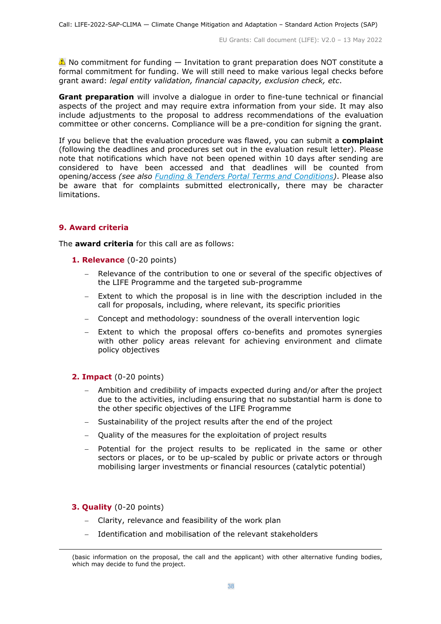$\triangle$  No commitment for funding  $-$  Invitation to grant preparation does NOT constitute a formal commitment for funding. We will still need to make various legal checks before grant award: *legal entity validation, financial capacity, exclusion check, etc*.

**Grant preparation** will involve a dialogue in order to fine-tune technical or financial aspects of the project and may require extra information from your side. It may also include adjustments to the proposal to address recommendations of the evaluation committee or other concerns. Compliance will be a pre-condition for signing the grant.

If you believe that the evaluation procedure was flawed, you can submit a **complaint** (following the deadlines and procedures set out in the evaluation result letter). Please note that notifications which have not been opened within 10 days after sending are considered to have been accessed and that deadlines will be counted from opening/access *(see also [Funding & Tenders Portal Terms and Conditions\)](https://ec.europa.eu/info/funding-tenders/opportunities/docs/2021-2027/common/ftp/tc_en.pdf)*. Please also be aware that for complaints submitted electronically, there may be character limitations.

## <span id="page-37-0"></span>**9. Award criteria**

The **award criteria** for this call are as follows:

- **1. Relevance** (0-20 points)
	- Relevance of the contribution to one or several of the specific objectives of the LIFE Programme and the targeted sub-programme
	- − Extent to which the proposal is in line with the description included in the call for proposals, including, where relevant, its specific priorities
	- − Concept and methodology: soundness of the overall intervention logic
	- Extent to which the proposal offers co-benefits and promotes synergies with other policy areas relevant for achieving environment and climate policy objectives

#### **2. Impact** (0-20 points)

- Ambition and credibility of impacts expected during and/or after the project due to the activities, including ensuring that no substantial harm is done to the other specific objectives of the LIFE Programme
- Sustainability of the project results after the end of the project
- − Quality of the measures for the exploitation of project results
- − Potential for the project results to be replicated in the same or other sectors or places, or to be up-scaled by public or private actors or through mobilising larger investments or financial resources (catalytic potential)

#### **3. Quality** (0-20 points)

- − Clarity, relevance and feasibility of the work plan
- Identification and mobilisation of the relevant stakeholders

<sup>(</sup>basic information on the proposal, the call and the applicant) with other alternative funding bodies, which may decide to fund the project.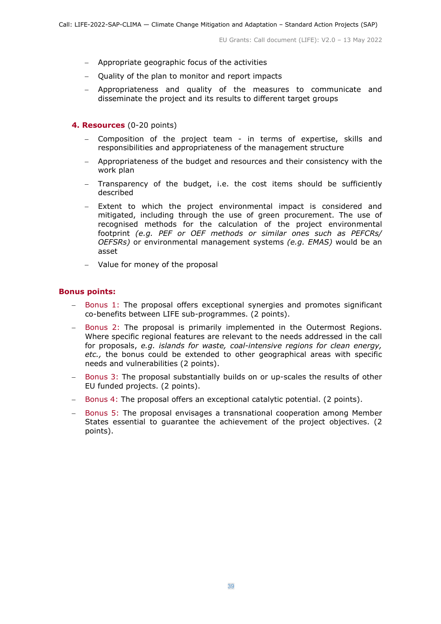- − Appropriate geographic focus of the activities
- − Quality of the plan to monitor and report impacts
- − Appropriateness and quality of the measures to communicate and disseminate the project and its results to different target groups
- **4. Resources** (0-20 points)
	- − Composition of the project team in terms of expertise, skills and responsibilities and appropriateness of the management structure
	- − Appropriateness of the budget and resources and their consistency with the work plan
	- − Transparency of the budget, i.e. the cost items should be sufficiently described
	- − Extent to which the project environmental impact is considered and mitigated, including through the use of green procurement. The use of recognised methods for the calculation of the project environmental footprint *(e.g. PEF or OEF methods or similar ones such as PEFCRs/ OEFSRs)* or environmental management systems *(e.g. EMAS)* would be an asset
	- − Value for money of the proposal

## **Bonus points:**

- Bonus 1: The proposal offers exceptional synergies and promotes significant co-benefits between LIFE sub-programmes. (2 points).
- − Bonus 2: The proposal is primarily implemented in the Outermost Regions. Where specific regional features are relevant to the needs addressed in the call for proposals, *e.g. islands for waste, coal-intensive regions for clean energy, etc.,* the bonus could be extended to other geographical areas with specific needs and vulnerabilities (2 points).
- − Bonus 3: The proposal substantially builds on or up-scales the results of other EU funded projects. (2 points).
- − Bonus 4: The proposal offers an exceptional catalytic potential. (2 points).
- − Bonus 5: The proposal envisages a transnational cooperation among Member States essential to guarantee the achievement of the project objectives. (2 points).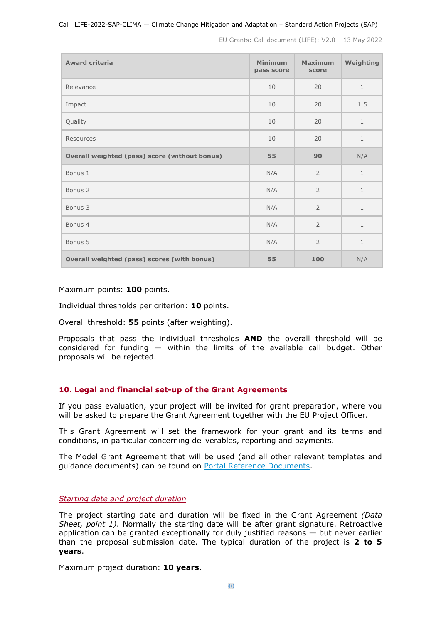#### Call: LIFE-2022-SAP-CLIMA — Climate Change Mitigation and Adaptation – Standard Action Projects (SAP)

EU Grants: Call document (LIFE): V2.0 – 13 May 2022

| <b>Award criteria</b>                         | <b>Minimum</b><br>pass score | <b>Maximum</b><br>score | Weighting    |
|-----------------------------------------------|------------------------------|-------------------------|--------------|
| Relevance                                     | 10                           | 20                      | $\mathbf{1}$ |
| Impact                                        | 10                           | 20                      | 1.5          |
| Quality                                       | 10                           | 20                      | $\mathbf{1}$ |
| Resources                                     | 10                           | 20                      | $1\,$        |
| Overall weighted (pass) score (without bonus) | 55                           | 90                      | N/A          |
| Bonus 1                                       | N/A                          | $\overline{2}$          | $\mathbf{1}$ |
| Bonus <sub>2</sub>                            | N/A                          | $\overline{2}$          | $\mathbf{1}$ |
| Bonus 3                                       | N/A                          | $\overline{2}$          | $\mathbf{1}$ |
| Bonus 4                                       | N/A                          | $\overline{2}$          | $\mathbf{1}$ |
| Bonus 5                                       | N/A                          | $\overline{2}$          | $\mathbf{1}$ |
| Overall weighted (pass) scores (with bonus)   | 55                           | 100                     | N/A          |

Maximum points: **100** points.

Individual thresholds per criterion: **10** points.

Overall threshold: **55** points (after weighting).

Proposals that pass the individual thresholds **AND** the overall threshold will be considered for funding — within the limits of the available call budget. Other proposals will be rejected.

#### <span id="page-39-0"></span>**10. Legal and financial set-up of the Grant Agreements**

If you pass evaluation, your project will be invited for grant preparation, where you will be asked to prepare the Grant Agreement together with the EU Project Officer.

This Grant Agreement will set the framework for your grant and its terms and conditions, in particular concerning deliverables, reporting and payments.

The Model Grant Agreement that will be used (and all other relevant templates and guidance documents) can be found on [Portal Reference Documents.](https://ec.europa.eu/info/funding-tenders/opportunities/portal/screen/how-to-participate/reference-documents)

<span id="page-39-1"></span>*Starting date and project duration*

The project starting date and duration will be fixed in the Grant Agreement *(Data Sheet, point 1)*. Normally the starting date will be after grant signature. Retroactive application can be granted exceptionally for duly justified reasons  $-$  but never earlier than the proposal submission date. The typical duration of the project is **2 to 5 years**.

Maximum project duration: **10 years**.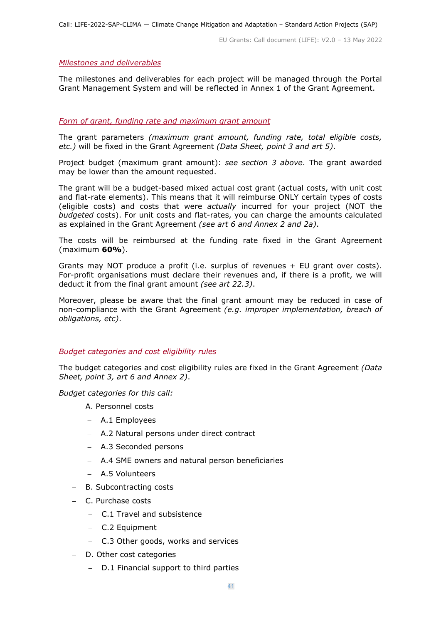#### <span id="page-40-0"></span>*Milestones and deliverables*

The milestones and deliverables for each project will be managed through the Portal Grant Management System and will be reflected in Annex 1 of the Grant Agreement.

#### <span id="page-40-1"></span>*Form of grant, funding rate and maximum grant amount*

The grant parameters *(maximum grant amount, funding rate, total eligible costs, etc.)* will be fixed in the Grant Agreement *(Data Sheet, point 3 and art 5)*.

Project budget (maximum grant amount): *see section 3 above*. The grant awarded may be lower than the amount requested.

The grant will be a budget-based mixed actual cost grant (actual costs, with unit cost and flat-rate elements). This means that it will reimburse ONLY certain types of costs (eligible costs) and costs that were *actually* incurred for your project (NOT the *budgeted* costs). For unit costs and flat-rates, you can charge the amounts calculated as explained in the Grant Agreement *(see art 6 and Annex 2 and 2a)*.

The costs will be reimbursed at the funding rate fixed in the Grant Agreement (maximum **60%**).

Grants may NOT produce a profit (i.e. surplus of revenues + EU grant over costs). For-profit organisations must declare their revenues and, if there is a profit, we will deduct it from the final grant amount *(see art 22.3)*.

Moreover, please be aware that the final grant amount may be reduced in case of non-compliance with the Grant Agreement *(e.g. improper implementation, breach of obligations, etc)*.

<span id="page-40-2"></span>*Budget categories and cost eligibility rules*

The budget categories and cost eligibility rules are fixed in the Grant Agreement *(Data Sheet, point 3, art 6 and Annex 2)*.

*Budget categories for this call:*

- − A. Personnel costs
	- − A.1 Employees
	- − A.2 Natural persons under direct contract
	- − A.3 Seconded persons
	- − A.4 SME owners and natural person beneficiaries
	- − A.5 Volunteers
- − B. Subcontracting costs
- − C. Purchase costs
	- − C.1 Travel and subsistence
	- − C.2 Equipment
	- − C.3 Other goods, works and services
- D. Other cost categories
	- − D.1 Financial support to third parties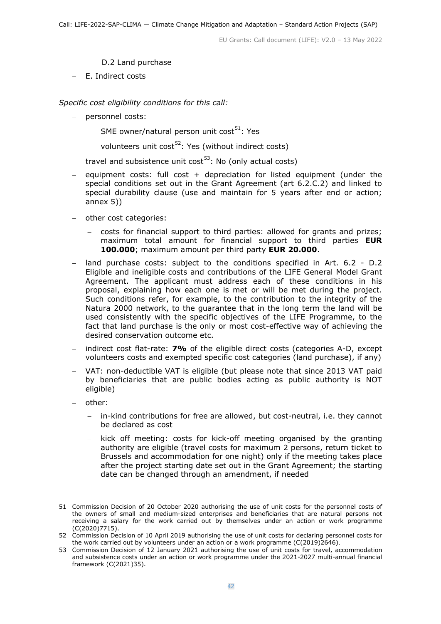- − D.2 Land purchase
- − E. Indirect costs

*Specific cost eligibility conditions for this call:* 

- − personnel costs:
	- − SME owner/natural person unit cost<sup>[51](#page-41-0)</sup>: Yes
	- − volunteers unit cost<sup>[52](#page-41-1)</sup>: Yes (without indirect costs)
- − travel and subsistence unit cost<sup>[53](#page-41-2)</sup>: No (only actual costs)
- − equipment costs: full cost + depreciation for listed equipment (under the special conditions set out in the Grant Agreement (art 6.2.C.2) and linked to special durability clause (use and maintain for 5 years after end or action; annex 5))
- − other cost categories:
	- − costs for financial support to third parties: allowed for grants and prizes; maximum total amount for financial support to third parties **EUR 100.000**; maximum amount per third party **EUR 20.000**.
- land purchase costs: subject to the conditions specified in Art. 6.2 D.2 Eligible and ineligible costs and contributions of the LIFE General Model Grant Agreement. The applicant must address each of these conditions in his proposal, explaining how each one is met or will be met during the project. Such conditions refer, for example, to the contribution to the integrity of the Natura 2000 network, to the guarantee that in the long term the land will be used consistently with the specific objectives of the LIFE Programme, to the fact that land purchase is the only or most cost-effective way of achieving the desired conservation outcome etc.
- − indirect cost flat-rate: **7%** of the eligible direct costs (categories A-D, except volunteers costs and exempted specific cost categories (land purchase), if any)
- − VAT: non-deductible VAT is eligible (but please note that since 2013 VAT paid by beneficiaries that are public bodies acting as public authority is NOT eligible)
- − other:
	- in-kind contributions for free are allowed, but cost-neutral, i.e. they cannot be declared as cost
	- kick off meeting: costs for kick-off meeting organised by the granting authority are eligible (travel costs for maximum 2 persons, return ticket to Brussels and accommodation for one night) only if the meeting takes place after the project starting date set out in the Grant Agreement; the starting date can be changed through an amendment, if needed

<span id="page-41-0"></span><sup>51</sup> Commission [Decision](https://ec.europa.eu/info/funding-tenders/opportunities/docs/2021-2027/common/guidance/unit-cost-decision-sme-owners-natural-persons_en.pdf) of 20 October 2020 authorising the use of unit costs for the personnel costs of the owners of small and medium-sized enterprises and beneficiaries that are natural persons not receiving a salary for the work carried out by themselves under an action or work programme (C(2020)7715).

<span id="page-41-1"></span><sup>52</sup> Commission [Decision](https://ec.europa.eu/info/funding-tenders/opportunities/docs/2021-2027/common/guidance/unit-cost-decision-volunteers_en.pdf) of 10 April 2019 authorising the use of unit costs for declaring personnel costs for the work carried out by volunteers under an action or a work programme (C(2019)2646).

<span id="page-41-2"></span><sup>53</sup> Commission [Decision](https://ec.europa.eu/info/funding-tenders/opportunities/docs/2021-2027/common/guidance/unit-cost-decision-travel_en.pdf) of 12 January 2021 authorising the use of unit costs for travel, accommodation and subsistence costs under an action or work programme under the 2021-2027 multi-annual financial framework (C(2021)35).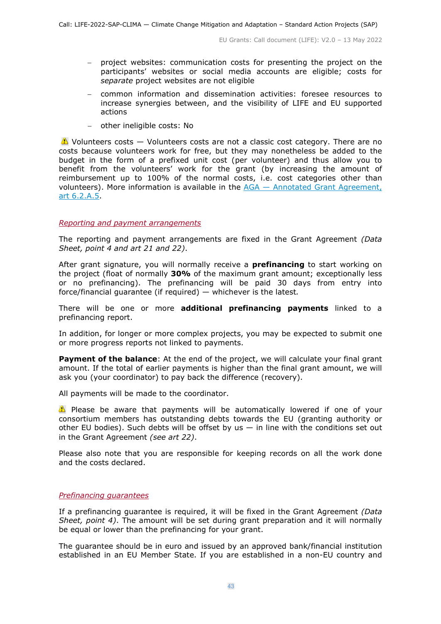- − project websites: communication costs for presenting the project on the participants' websites or social media accounts are eligible; costs for *separate* project websites are not eligible
- − common information and dissemination activities: foresee resources to increase synergies between, and the visibility of LIFE and EU supported actions
- − other ineligible costs: No

 $\triangle$  Volunteers costs  $-$  Volunteers costs are not a classic cost category. There are no costs because volunteers work for free, but they may nonetheless be added to the budget in the form of a prefixed unit cost (per volunteer) and thus allow you to benefit from the volunteers' work for the grant (by increasing the amount of reimbursement up to 100% of the normal costs, i.e. cost categories other than volunteers). More information is available in the AGA — [Annotated Grant Agreement,](https://ec.europa.eu/info/funding-tenders/opportunities/docs/2021-2027/common/guidance/aga_en.pdf)  [art 6.2.A.5.](https://ec.europa.eu/info/funding-tenders/opportunities/docs/2021-2027/common/guidance/aga_en.pdf)

#### <span id="page-42-0"></span>*Reporting and payment arrangements*

The reporting and payment arrangements are fixed in the Grant Agreement *(Data Sheet, point 4 and art 21 and 22)*.

After grant signature, you will normally receive a **prefinancing** to start working on the project (float of normally **30%** of the maximum grant amount; exceptionally less or no prefinancing). The prefinancing will be paid 30 days from entry into force/financial guarantee (if required) — whichever is the latest*.*

There will be one or more **additional prefinancing payments** linked to a prefinancing report.

In addition, for longer or more complex projects, you may be expected to submit one or more progress reports not linked to payments.

**Payment of the balance**: At the end of the project, we will calculate your final grant amount. If the total of earlier payments is higher than the final grant amount, we will ask you (your coordinator) to pay back the difference (recovery).

All payments will be made to the coordinator.

 $\triangle$  Please be aware that payments will be automatically lowered if one of your consortium members has outstanding debts towards the EU (granting authority or other EU bodies). Such debts will be offset by us  $-$  in line with the conditions set out in the Grant Agreement *(see art 22)*.

Please also note that you are responsible for keeping records on all the work done and the costs declared.

#### <span id="page-42-1"></span>*Prefinancing guarantees*

If a prefinancing guarantee is required, it will be fixed in the Grant Agreement *(Data Sheet, point 4)*. The amount will be set during grant preparation and it will normally be equal or lower than the prefinancing for your grant.

The guarantee should be in euro and issued by an approved bank/financial institution established in an EU Member State. If you are established in a non-EU country and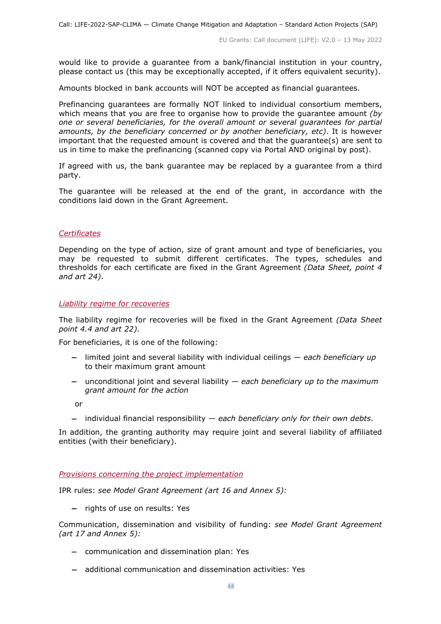would like to provide a guarantee from a bank/financial institution in your country, please contact us (this may be exceptionally accepted, if it offers equivalent security).

Amounts blocked in bank accounts will NOT be accepted as financial guarantees.

Prefinancing guarantees are formally NOT linked to individual consortium members, which means that you are free to organise how to provide the guarantee amount *(by one or several beneficiaries, for the overall amount or several guarantees for partial amounts, by the beneficiary concerned or by another beneficiary, etc)*. It is however important that the requested amount is covered and that the guarantee(s) are sent to us in time to make the prefinancing (scanned copy via Portal AND original by post).

If agreed with us, the bank guarantee may be replaced by a guarantee from a third party.

The guarantee will be released at the end of the grant, in accordance with the conditions laid down in the Grant Agreement.

#### <span id="page-43-0"></span>*Certificates*

Depending on the type of action, size of grant amount and type of beneficiaries, you may be requested to submit different certificates. The types, schedules and thresholds for each certificate are fixed in the Grant Agreement *(Data Sheet, point 4 and art 24)*.

#### <span id="page-43-1"></span>*Liability regime for recoveries*

The liability regime for recoveries will be fixed in the Grant Agreement *(Data Sheet point 4.4 and art 22).*

For beneficiaries, it is one of the following:

- − limited joint and several liability with individual ceilings *each beneficiary up*  to their maximum grant amount
- − unconditional joint and several liability *each beneficiary up to the maximum grant amount for the action*

or

− individual financial responsibility — *each beneficiary only for their own debts*.

In addition, the granting authority may require joint and several liability of affiliated entities (with their beneficiary).

<span id="page-43-2"></span>*Provisions concerning the project implementation*

IPR rules: *see Model Grant Agreement (art 16 and Annex 5):*

− rights of use on results: Yes

Communication, dissemination and visibility of funding: *see Model Grant Agreement (art 17 and Annex 5):*

- − communication and dissemination plan: Yes
- − additional communication and dissemination activities: Yes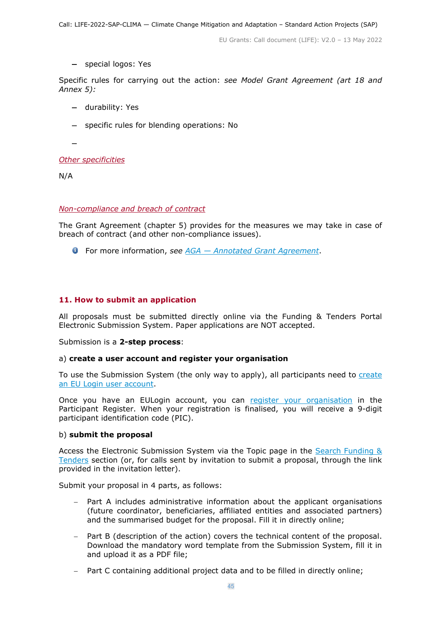− special logos: Yes

Specific rules for carrying out the action: *see Model Grant Agreement (art 18 and Annex 5):*

- − durability: Yes
- − specific rules for blending operations: No

−

<span id="page-44-0"></span>*Other specificities*

N/A

#### <span id="page-44-1"></span>*Non-compliance and breach of contract*

The Grant Agreement (chapter 5) provides for the measures we may take in case of breach of contract (and other non-compliance issues).

For more information, *see [AGA —](https://ec.europa.eu/info/funding-tenders/opportunities/docs/2021-2027/common/guidance/aga_en.pdf) [Annotated Grant Agreement](https://ec.europa.eu/info/funding-tenders/opportunities/docs/2021-2027/common/guidance/aga_en.pdf)*.

#### <span id="page-44-2"></span>**11. How to submit an application**

All proposals must be submitted directly online via the Funding & Tenders Portal Electronic Submission System. Paper applications are NOT accepted.

Submission is a **2-step process**:

#### a) **create a user account and register your organisation**

To use the Submission System (the only way to apply), all participants need to create [an EU Login user account.](https://webgate.ec.europa.eu/cas/eim/external/register.cgi)

Once you have an EULogin account, you can [register your organisation](https://ec.europa.eu/info/funding-tenders/opportunities/portal/screen/how-to-participate/participant-register) in the Participant Register. When your registration is finalised, you will receive a 9-digit participant identification code (PIC).

#### b) **submit the proposal**

Access the Electronic Submission System via the Topic page in the [Search Funding &](https://ec.europa.eu/info/funding-tenders/opportunities/portal/screen/opportunities/topic-search;freeTextSearchKeyword=;typeCodes=0,1;statusCodes=31094501,31094502,31094503;programCode=null;programDivisionCode=null;focusAreaCode=null;crossCuttingPriorityCode=null;callCode=Default;sortQuery=openingDate;orderBy=asc;onlyTenders=false;topicListKey=topicSearchTablePageState)  [Tenders](https://ec.europa.eu/info/funding-tenders/opportunities/portal/screen/opportunities/topic-search;freeTextSearchKeyword=;typeCodes=0,1;statusCodes=31094501,31094502,31094503;programCode=null;programDivisionCode=null;focusAreaCode=null;crossCuttingPriorityCode=null;callCode=Default;sortQuery=openingDate;orderBy=asc;onlyTenders=false;topicListKey=topicSearchTablePageState) section (or, for calls sent by invitation to submit a proposal, through the link provided in the invitation letter).

Submit your proposal in 4 parts, as follows:

- Part A includes administrative information about the applicant organisations (future coordinator, beneficiaries, affiliated entities and associated partners) and the summarised budget for the proposal. Fill it in directly online;
- Part B (description of the action) covers the technical content of the proposal. Download the mandatory word template from the Submission System, fill it in and upload it as a PDF file;
- − Part C containing additional project data and to be filled in directly online;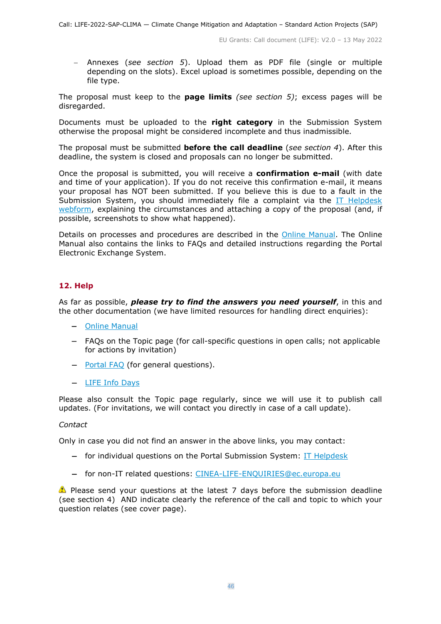− Annexes (*see section 5*). Upload them as PDF file (single or multiple depending on the slots). Excel upload is sometimes possible, depending on the file type.

The proposal must keep to the **page limits** *(see section 5)*; excess pages will be disregarded.

Documents must be uploaded to the **right category** in the Submission System otherwise the proposal might be considered incomplete and thus inadmissible.

The proposal must be submitted **before the call deadline** (*see section 4*). After this deadline, the system is closed and proposals can no longer be submitted.

Once the proposal is submitted, you will receive a **confirmation e-mail** (with date and time of your application). If you do not receive this confirmation e-mail, it means your proposal has NOT been submitted. If you believe this is due to a fault in the Submission System, you should immediately file a complaint via the IT Helpdesk [webform,](https://ec.europa.eu/info/funding-tenders/opportunities/portal/screen/support/helpdesks/contact-form) explaining the circumstances and attaching a copy of the proposal (and, if possible, screenshots to show what happened).

Details on processes and procedures are described in the [Online Manual.](https://ec.europa.eu/info/funding-tenders/opportunities/docs/2021-2027/common/guidance/om_en.pdf) The Online Manual also contains the links to FAQs and detailed instructions regarding the Portal Electronic Exchange System.

## <span id="page-45-0"></span>**12. Help**

As far as possible, *please try to find the answers you need yourself*, in this and the other documentation (we have limited resources for handling direct enquiries):

- − [Online Manual](https://ec.europa.eu/info/funding-tenders/opportunities/docs/2021-2027/common/guidance/om_en.pdf)
- − FAQs on the Topic page (for call-specific questions in open calls; not applicable for actions by invitation)
- − [Portal](https://ec.europa.eu/info/funding-tenders/opportunities/portal/screen/support/faq;categories=;programme=null;actions=;keyword=) [FAQ](https://ec.europa.eu/info/funding-tenders/opportunities/portal/screen/support/faq;categories=;programme=null;actions=;keyword=) (for general questions).
- − [LIFE Info Days](https://cinea.ec.europa.eu/life/life-support-applicants_en)

Please also consult the Topic page regularly, since we will use it to publish call updates. (For invitations, we will contact you directly in case of a call update).

#### *Contact*

Only in case you did not find an answer in the above links, you may contact:

- − for individual questions on the Portal Submission System: [IT Helpdesk](https://ec.europa.eu/info/funding-tenders/opportunities/portal/screen/support/helpdesks/contact-form)
- − for non-IT related questions: [CINEA-LIFE-ENQUIRIES@ec.europa.eu](mailto:CINEA-LIFE-ENQUIRIES@ec.europa.eu)

**Please send your questions at the latest 7 days before the submission deadline** (see section 4) AND indicate clearly the reference of the call and topic to which your question relates (see cover page).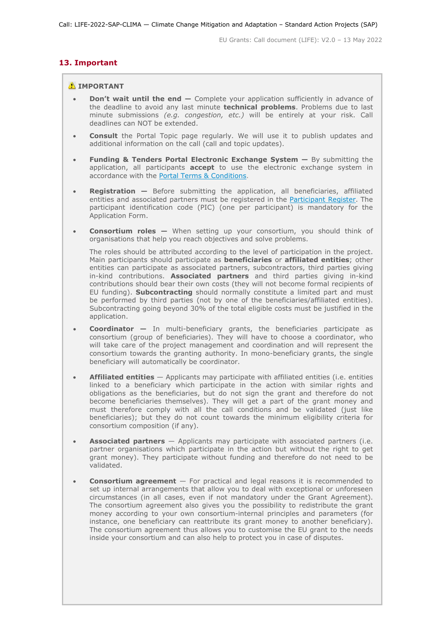#### <span id="page-46-0"></span>**13. Important**

#### **A** IMPORTANT

- **Don't wait until the end —** Complete your application sufficiently in advance of the deadline to avoid any last minute **technical problems**. Problems due to last minute submissions *(e.g. congestion, etc.)* will be entirely at your risk. Call deadlines can NOT be extended.
- **Consult** the Portal Topic page regularly. We will use it to publish updates and additional information on the call (call and topic updates).
- **Funding & Tenders Portal Electronic Exchange System —** By submitting the application, all participants **accept** to use the electronic exchange system in accordance with the [Portal Terms & Conditions.](https://ec.europa.eu/info/funding-tenders/opportunities/docs/2021-2027/common/ftp/tc_en.pdf)
- **Registration —** Before submitting the application, all beneficiaries, affiliated entities and associated partners must be registered in the [Participant Register.](https://ec.europa.eu/info/funding-tenders/opportunities/portal/screen/how-to-participate/participant-register) The participant identification code (PIC) (one per participant) is mandatory for the Application Form.
- **Consortium roles —** When setting up your consortium, you should think of organisations that help you reach objectives and solve problems.

The roles should be attributed according to the level of participation in the project. Main participants should participate as **beneficiaries** or **affiliated entities**; other entities can participate as associated partners, subcontractors, third parties giving in-kind contributions. **Associated partners** and third parties giving in-kind contributions should bear their own costs (they will not become formal recipients of EU funding). **Subcontracting** should normally constitute a limited part and must be performed by third parties (not by one of the beneficiaries/affiliated entities). Subcontracting going beyond 30% of the total eligible costs must be justified in the application.

- **Coordinator —** In multi-beneficiary grants, the beneficiaries participate as consortium (group of beneficiaries). They will have to choose a coordinator, who will take care of the project management and coordination and will represent the consortium towards the granting authority. In mono-beneficiary grants, the single beneficiary will automatically be coordinator.
- **Affiliated entities** Applicants may participate with affiliated entities (i.e. entities linked to a beneficiary which participate in the action with similar rights and obligations as the beneficiaries, but do not sign the grant and therefore do not become beneficiaries themselves). They will get a part of the grant money and must therefore comply with all the call conditions and be validated (just like beneficiaries); but they do not count towards the minimum eligibility criteria for consortium composition (if any).
- **Associated partners** Applicants may participate with associated partners (i.e. partner organisations which participate in the action but without the right to get grant money). They participate without funding and therefore do not need to be validated.
- **Consortium agreement**  For practical and legal reasons it is recommended to set up internal arrangements that allow you to deal with exceptional or unforeseen circumstances (in all cases, even if not mandatory under the Grant Agreement). The consortium agreement also gives you the possibility to redistribute the grant money according to your own consortium-internal principles and parameters (for instance, one beneficiary can reattribute its grant money to another beneficiary). The consortium agreement thus allows you to customise the EU grant to the needs inside your consortium and can also help to protect you in case of disputes.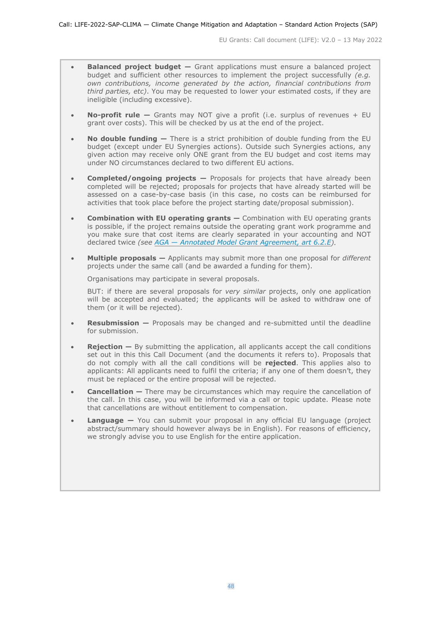- **Balanced project budget —** Grant applications must ensure a balanced project budget and sufficient other resources to implement the project successfully *(e.g. own contributions, income generated by the action, financial contributions from third parties, etc)*. You may be requested to lower your estimated costs, if they are ineligible (including excessive).
- **No-profit rule —** Grants may NOT give a profit (i.e. surplus of revenues + EU grant over costs). This will be checked by us at the end of the project.
- **No double funding —** There is a strict prohibition of double funding from the EU budget (except under EU Synergies actions). Outside such Synergies actions, any given action may receive only ONE grant from the EU budget and cost items may under NO circumstances declared to two different EU actions.
- **Completed/ongoing projects —** Proposals for projects that have already been completed will be rejected; proposals for projects that have already started will be assessed on a case-by-case basis (in this case, no costs can be reimbursed for activities that took place before the project starting date/proposal submission).
- **Combination with EU operating grants —** Combination with EU operating grants is possible, if the project remains outside the operating grant work programme and you make sure that cost items are clearly separated in your accounting and NOT declared twice *(see [AGA —](https://ec.europa.eu/info/funding-tenders/opportunities/docs/2021-2027/common/guidance/aga_en.pdf) [Annotated Model Grant Agreement, art 6.2.E\)](https://ec.europa.eu/info/funding-tenders/opportunities/docs/2021-2027/common/guidance/aga_en.pdf).*
- **Multiple proposals —** Applicants may submit more than one proposal for *different* projects under the same call (and be awarded a funding for them).

Organisations may participate in several proposals.

BUT: if there are several proposals for *very similar* projects, only one application will be accepted and evaluated; the applicants will be asked to withdraw one of them (or it will be rejected).

- **Resubmission —** Proposals may be changed and re-submitted until the deadline for submission.
- **Rejection** By submitting the application, all applicants accept the call conditions set out in this this Call Document (and the documents it refers to). Proposals that do not comply with all the call conditions will be **rejected**. This applies also to applicants: All applicants need to fulfil the criteria; if any one of them doesn't, they must be replaced or the entire proposal will be rejected.
- **Cancellation –** There may be circumstances which may require the cancellation of the call. In this case, you will be informed via a call or topic update. Please note that cancellations are without entitlement to compensation.
- **Language** You can submit your proposal in any official EU language (project abstract/summary should however always be in English). For reasons of efficiency, we strongly advise you to use English for the entire application.